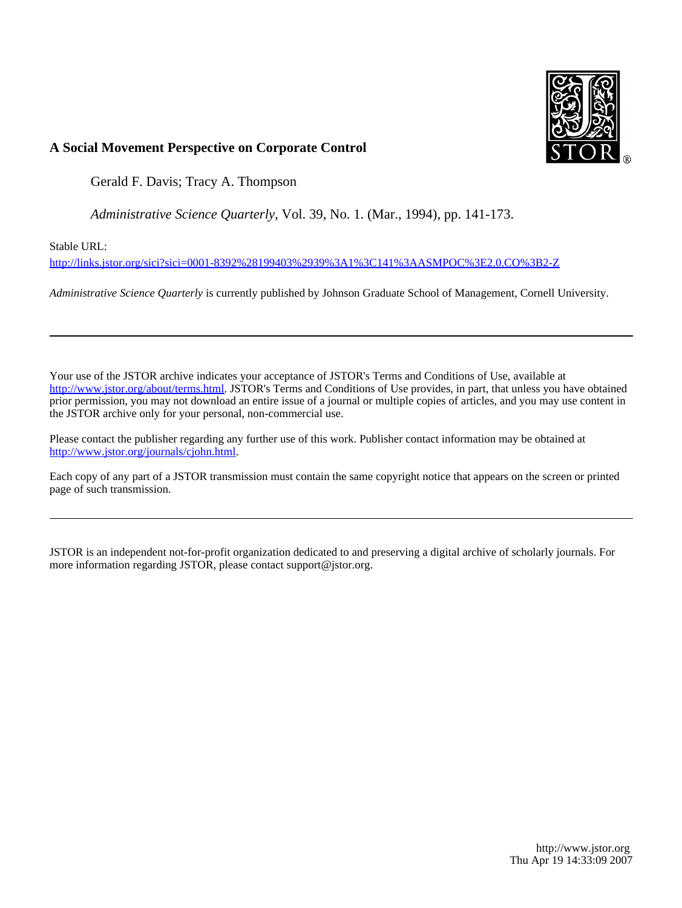

# **A Social Movement Perspective on Corporate Control**

Gerald F. Davis; Tracy A. Thompson

*Administrative Science Quarterly*, Vol. 39, No. 1. (Mar., 1994), pp. 141-173.

Stable URL:

<http://links.jstor.org/sici?sici=0001-8392%28199403%2939%3A1%3C141%3AASMPOC%3E2.0.CO%3B2-Z>

*Administrative Science Quarterly* is currently published by Johnson Graduate School of Management, Cornell University.

Your use of the JSTOR archive indicates your acceptance of JSTOR's Terms and Conditions of Use, available at [http://www.jstor.org/about/terms.html.](http://www.jstor.org/about/terms.html) JSTOR's Terms and Conditions of Use provides, in part, that unless you have obtained prior permission, you may not download an entire issue of a journal or multiple copies of articles, and you may use content in the JSTOR archive only for your personal, non-commercial use.

Please contact the publisher regarding any further use of this work. Publisher contact information may be obtained at [http://www.jstor.org/journals/cjohn.html.](http://www.jstor.org/journals/cjohn.html)

Each copy of any part of a JSTOR transmission must contain the same copyright notice that appears on the screen or printed page of such transmission.

JSTOR is an independent not-for-profit organization dedicated to and preserving a digital archive of scholarly journals. For more information regarding JSTOR, please contact support@jstor.org.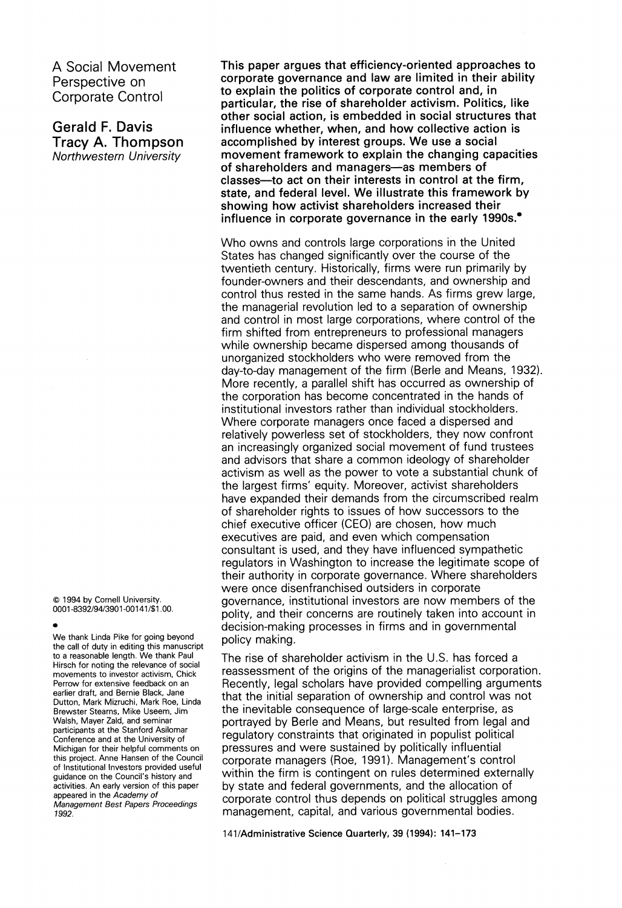# A Social Movement Perspective on Corporate Control

# Gerald F. Davis Tracy A. Thompson Northwestern University

© 1994 by Cornell University.<br>0001-8392/94/3901-00141/\$1.0<br>● Alé that's Linds Bike for asing 0001-8392/94/3901-00141/\$1.00.

We thank Linda Pike for going beyond the call of duty in editing this manuscript to a reasonable length. We thank Paul Hirsch for noting the relevance of social movements to investor activism. Chick Perrow for extensive feedback on an earlier draft, and Bernie Black, Jane Dutton. Mark Mizruchi. Mark Roe, Linda Brewster Stearns, Mike Useem, Jim Walsh, Mayer Zald, and seminar participants at the Stanford Asilomar Conference and at the University of Michigan for their helpful comments on this project. Anne Hansen of the Council of Institutional Investors provided useful guidance on the Council's history and activities. An early version of this paper appeared in the Academy of Management Best Papers Proceedings 1992.

This paper argues that efficiency-oriented approaches to corporate governance and law are limited in their ability to explain the politics of corporate control and, in particular, the rise of shareholder activism. Politics, like other social action, is embedded in social structures that influence whether, when, and how collective action is accomplished by interest groups. We use a social movement framework to explain the changing capacities of shareholders and managers-as members of classes-to act on their interests in control at the firm, state, and federal level. We illustrate this framework by showing how activist shareholders increased their influence in corporate governance in the early 1990s.<sup>•</sup>

Who owns and controls large corporations in the United States has changed significantly over the course of the twentieth century. Historically, firms were run primarily by founder-owners and their descendants, and ownership and control thus rested in the same hands. As firms grew large, the managerial revolution led to a separation of ownership and control in most large corporations, where control of the firm shifted from entrepreneurs to professional managers while ownership became dispersed among thousands of unorganized stockholders who were removed from the day-to-day management of the firm (Berle and Means, 1932). More recently, a parallel shift has occurred as ownership of the corporation has become concentrated in the hands of institutional investors rather than individual stockholders. Where corporate managers once faced a dispersed and relatively powerless set of stockholders, they now confront an increasingly organized social movement of fund trustees and advisors that share a common ideology of shareholder activism as well as the power to vote a substantial chunk of the largest firms' equity. Moreover, activist shareholders have expanded their demands from the circumscribed realm of shareholder rights to issues of how successors to the chief executive officer (CEO) are chosen, how much executives are paid, and even which compensation consultant is used, and they have influenced sympathetic regulators in Washington to increase the legitimate scope of their authority in corporate governance. Where shareholders were once disenfranchised outsiders in corporate governance, institutional investors are now members of the polity, and their concerns are routinely taken into account in decision-making processes in firms and in governmental policy making.

The rise of shareholder activism in the U.S. has forced a reassessment of the origins of the managerialist corporation. Recently, legal scholars have provided compelling arguments that the initial separation of ownership and control was not the inevitable consequence of large-scale enterprise, as portrayed by Berle and Means, but resulted from legal and regulatory constraints that originated in populist political pressures and were sustained by politically influential corporate managers (Roe, 1991 ). Management's control within the firm is contingent on rules determined externally by state and federal governments, and the allocation of corporate control thus depends on political struggles among management, capital, and various governmental bodies.

14llAdministrative Science Quarterly, 39 (1994): 141-173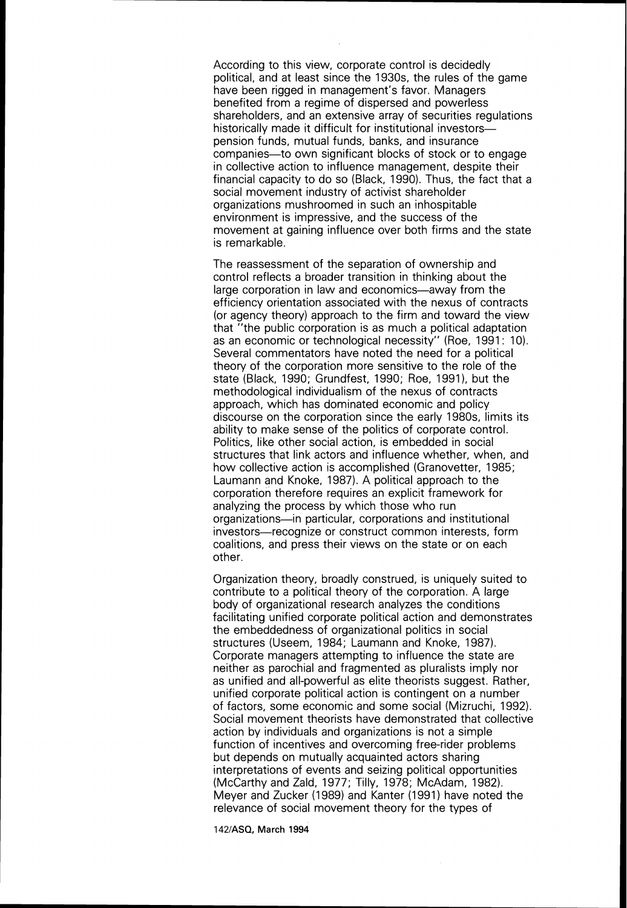According to this view, corporate control is decidedly political, and at least since the 1930s, the rules of the game have been rigged in management's favor. Managers benefited from a regime of dispersed and powerless shareholders, and an extensive array of securities regulations historically made it difficult for institutional investorspension funds, mutual funds, banks, and insurance companies—to own significant blocks of stock or to engage in collective action to influence management, despite their financial capacity to do so (Black, 1990). Thus, the fact that a social movement industry of activist shareholder organizations mushroomed in such an inhospitable environment is impressive, and the success of the movement at gaining influence over both firms and the state is remarkable.

The reassessment of the separation of ownership and control reflects a broader transition in thinking about the large corporation in law and economics—away from the efficiency orientation associated with the nexus of contracts (or agency theory) approach to the firm and toward the view that "the public corporation is as much a political adaptation as an economic or technological necessity" (Roe, 1991 : 10). Several commentators have noted the need for a political theory of the corporation more sensitive to the role of the state (Black, 1990; Grundfest, 1990; Roe, 1991), but the methodological individualism of the nexus of contracts approach, which has dominated economic and policy discourse on the corporation since the early 1980s, limits its ability to make sense of the politics of corporate control. Politics, like other social action, is embedded in social structures that link actors and influence whether, when, and how collective action is accomplished (Granovetter, 1985; Laumann and Knoke, 1987). A political approach to the corporation therefore requires an explicit framework for analyzing the process by which those who run organizations-in particular, corporations and institutional investors-recognize or construct common interests, form coalitions, and press their views on the state or on each other.

Organization theory, broadly construed, is uniquely suited to contribute to a political theory of the corporation. A large body of organizational research analyzes the conditions facilitating unified corporate political action and demonstrates the embeddedness of organizational politics in social structures (Useem, 1984; Laumann and Knoke, 1987). Corporate managers attempting to influence the state are neither as parochial and fragmented as pluralists imply nor as unified and all-powerful as elite theorists suggest. Rather, unified corporate political action is contingent on a number of factors, some economic and some social (Mizruchi, 1992). Social movement theorists have demonstrated that collective action by individuals and organizations is not a simple function of incentives and overcoming free-rider problems but depends on mutually acquainted actors sharing interpretations of events and seizing political opportunities (McCarthy and Zald, 1977; Tilly, 1978; McAdam, 1982). Meyer and Zucker (1989) and Kanter (1991) have noted the relevance of social movement theory for the types of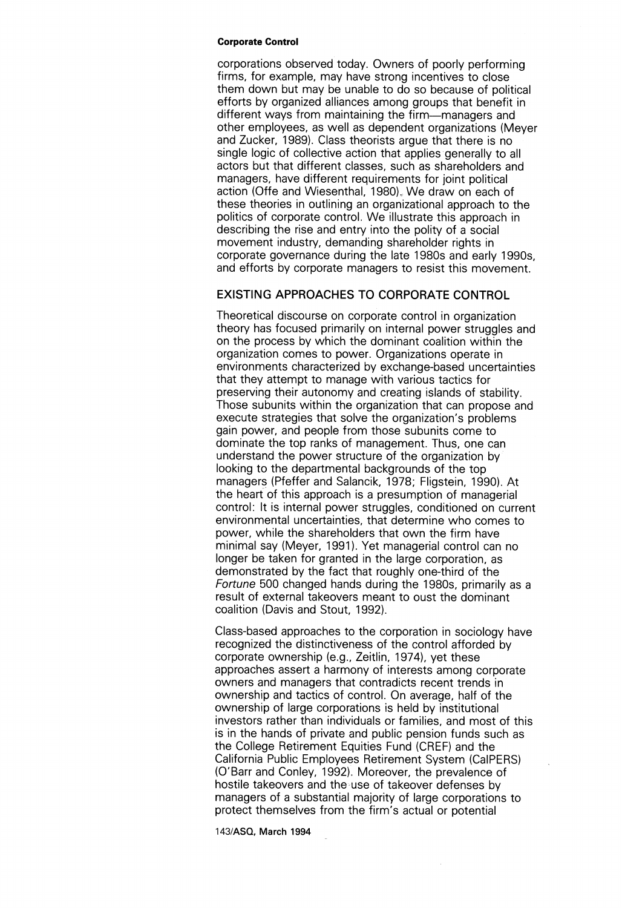corporations observed today. Owners of poorly performing firms, for example, may have strong incentives to close them down but may be unable to do so because of political efforts by organized alliances among groups that benefit in different ways from maintaining the firm-managers and other employees, as well as dependent organizations (Meyer and Zucker, 1989). Class theorists argue that there is no single logic of collective action that applies generally to all actors but that different classes, such as shareholders and managers, have different requirements for joint political action (Offe and Wiesenthal, 1980). We draw on each of these theories in outlining an organizational approach to the politics of corporate control. We illustrate this approach in describing the rise and entry into the polity of a social movement industry, demanding shareholder rights in corporate governance during the late 1980s and early 1990s, and efforts by corporate managers to resist this movement.

# EXISTING APPROACHES TO CORPORATE CONTROL

Theoretical discourse on corporate control in organization theory has focused primarily on internal power struggles and on the process by which the dominant coalition within the organization comes to power. Organizations operate in environments characterized by exchange-based uncertainties that they attempt to manage with various tactics for preserving their autonomy and creating islands of stability. Those subunits within the organization that can propose and execute strategies that solve the organization's problems gain power, and people from those subunits come to dominate the top ranks of management. Thus, one can understand the power structure of the organization by looking to the departmental backgrounds of the top managers (Pfeffer and Salancik, 1978; Fligstein, 1990). At the heart of this approach is a presumption of managerial control: It is internal power struggles, conditioned on current environmental uncertainties, that determine who comes to power, while the shareholders that own the firm have minimal say (Meyer, 1991). Yet managerial control can no longer be taken for granted in the large corporation, as demonstrated by the fact that roughly one-third of the Fortune 500 changed hands during the 1980s, primarily as a result of external takeovers meant to oust the dominant coalition (Davis and Stout, 1992).

Class-based approaches to the corporation in sociology have recognized the distinctiveness of the control afforded by corporate ownership (e.g., Zeitlin, 1974), yet these approaches assert a harmony of interests among corporate owners and managers that contradicts recent trends in ownership and tactics of control. On average, half of the ownership of large corporations is held by institutional investors rather than individuals or families, and most of this is in the hands of private and public pension funds such as the College Retirement Equities Fund (CREF) and the California Public Employees Retirement System (CalPERS) (O'Barr and Conley, 1992). Moreover, the prevalence of hostile takeovers and the use of takeover defenses by managers of a substantial majority of large corporations to protect themselves from the firm's actual or potential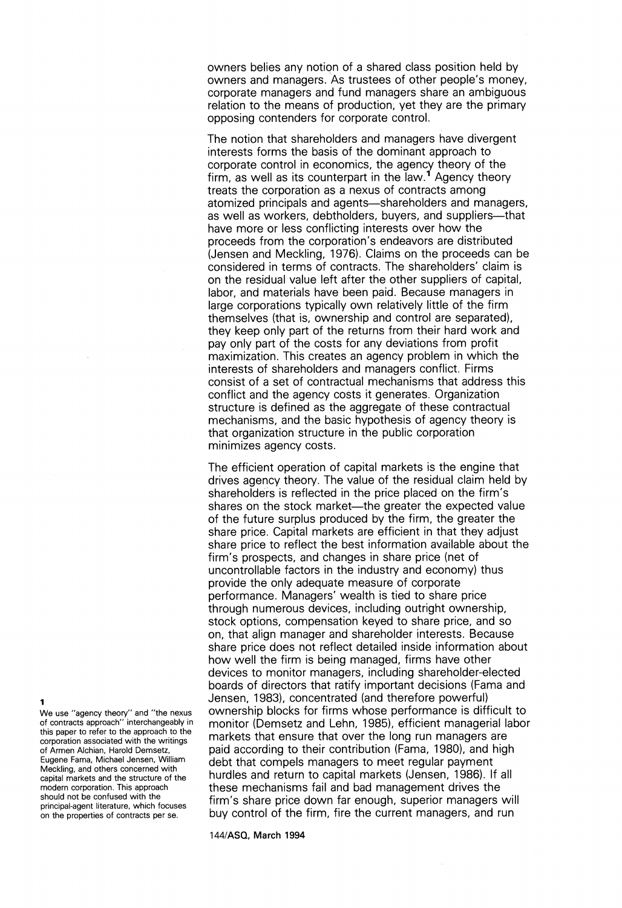owners belies any notion of a shared class position held by owners and managers. As trustees of other people's money, corporate managers and fund managers share an ambiguous relation to the means of production, yet they are the primary opposing contenders for corporate control.

The notion that shareholders and managers have divergent interests forms the basis of the dominant approach to corporate control in economics, the agency theory of the firm, as well as its counterpart in the law.' Agency theory treats the corporation as a nexus of contracts among atomized principals and agents-shareholders and managers, as well as workers, debtholders, buyers, and suppliers—that have more or less conflicting interests over how the proceeds from the corporation's endeavors are distributed (Jensen and Meckling, 1976). Claims on the proceeds can be considered in terms of contracts. The shareholders' claim is on the residual value left after the other suppliers of capital, labor, and materials have been paid. Because managers in large corporations typically own relatively little of the firm themselves (that is, ownership and control are separated), they keep only part of the returns from their hard work and pay only part of the costs for any deviations from profit maximization. This creates an agency problem in which the interests of shareholders and managers conflict. Firms consist of a set of contractual mechanisms that address this conflict and the agency costs it generates. Organization structure is defined as the aggregate of these contractual mechanisms, and the basic hypothesis of agency theory is that organization structure in the public corporation minimizes agency costs.

The efficient operation of capital markets is the engine that drives agency theory. The value of the residual claim held by shareholders is reflected in the price placed on the firm's shares on the stock market—the greater the expected value of the future surplus produced by the firm, the greater the share price. Capital markets are efficient in that they adjust share price to reflect the best information available about the firm's prospects, and changes in share price (net of uncontrollable factors in the industry and economy) thus provide the only adequate measure of corporate performance. Managers' wealth is tied to share price through numerous devices, including outright ownership, stock options, compensation keyed to share price, and so on, that align manager and shareholder interests. Because share price does not reflect detailed inside information about how well the firm is being managed, firms have other devices to monitor managers, including shareholder-elected boards of directors that ratify important decisions (Fama and Jensen, 1983), concentrated (and therefore powerful) ownership blocks for firms whose performance is difficult to monitor (Demsetz and Lehn, 1985), efficient managerial labor markets that ensure that over the long run managers are paid according to their contribution (Fama, 1980), and high debt that compels managers to meet regular payment hurdles and return to capital markets (Jensen, 1986). If all these mechanisms fail and bad management drives the firm's share price down far enough, superior managers will buy control of the firm, fire the current managers, and run

144/ASQ, **March 1994** 

# 1

We use "agency theory" and "the nexus of contracts approach" interchangeably in this paper to refer to the approach to the corporation associated with the writings of Armen Alchian, Harold Demsetz, Eugene Fama, Michael Jensen. William Meckling, and others concerned with capital markets and the structure of the modern corporation. This approach should not be confused with the principal-agent literature, which focuses on the properties of contracts per se.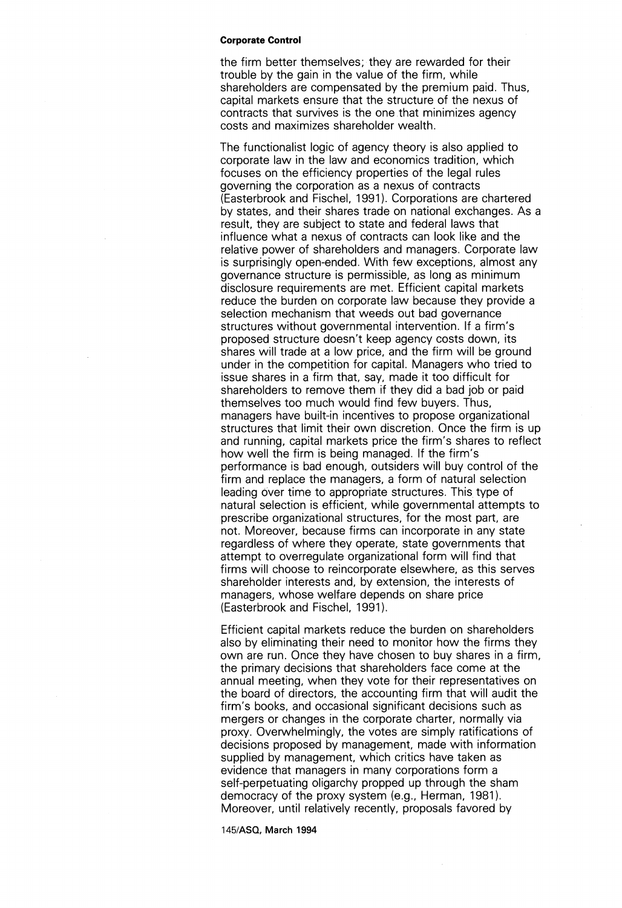the firm better themselves; they are rewarded for their trouble by the gain in the value of the firm, while shareholders are compensated by the premium paid. Thus, capital markets ensure that the structure of the nexus of contracts that survives is the one that minimizes agency costs and maximizes shareholder wealth.

The functionalist logic of agency theory is also applied to corporate law in the law and economics tradition, which focuses on the efficiency properties of the legal rules governing the corporation as a nexus of contracts (Easterbrook and Fischel, 1991 ). Corporations are chartered by states, and their shares trade on national exchanges. As a result, they are subject to state and federal laws that influence what a nexus of contracts can look like and the relative power of shareholders and managers. Corporate law is surprisingly open-ended. With few exceptions, almost any governance structure is permissible, as long as minimum disclosure requirements are met. Efficient capital markets reduce the burden on corporate law because they provide a selection mechanism that weeds out bad governance structures without governmental intervention. If a firm's proposed structure doesn't keep agency costs down, its shares will trade at a low price, and the firm will be ground under in the competition for capital. Managers who tried to issue shares in a firm that, say, made it too difficult for shareholders to remove them if they did a bad job or paid themselves too much would find few buyers. Thus, managers have built-in incentives to propose organizational structures that limit their own discretion. Once the firm is up and running, capital markets price the firm's shares to reflect how well the firm is being managed. If the firm's performance is bad enough, outsiders will buy control of the firm and replace the managers, a form of natural selection leading over time to appropriate structures. This type of natural selection is efficient, while governmental attempts to prescribe organizational structures, for the most part, are not. Moreover, because firms can incorporate in any state regardless of where they operate, state governments that attempt to overregulate organizational form will find that firms will choose to reincorporate elsewhere, as this serves shareholder interests and, by extension, the interests of managers, whose welfare depends on share price (Easterbrook and Fischel, 1991).

Efficient capital markets reduce the burden on shareholders also by eliminating their need to monitor how the firms they own are run. Once they have chosen to buy shares in a firm, the primary decisions that shareholders face come at the annual meeting, when they vote for their representatives on the board of directors, the accounting firm that will audit the firm's books, and occasional significant decisions such as mergers or changes in the corporate charter, normally via proxy. Overwhelmingly, the votes are simply ratifications of decisions proposed by management, made with information supplied by management, which critics have taken as evidence that managers in many corporations form a self-perpetuating oligarchy propped up through the sham democracy of the proxy system (e.g., Herman, 1981). Moreover, until relatively recently, proposals favored by

145lASQ. March **1994**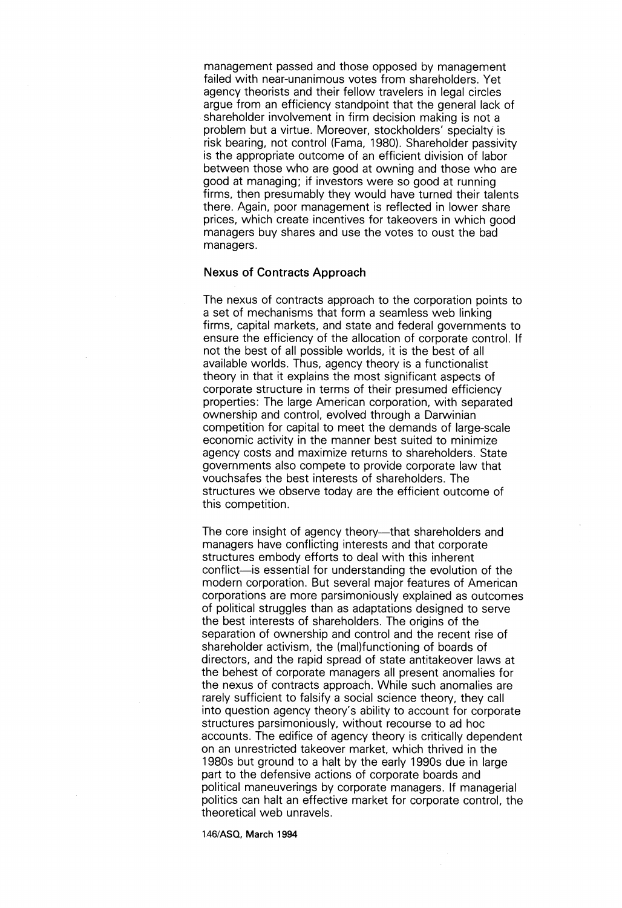management passed and those opposed by management failed with near-unanimous votes from shareholders. Yet agency theorists and their fellow travelers in legal circles argue from an efficiency standpoint that the general lack of shareholder involvement in firm decision making is not a problem but a virtue. Moreover, stockholders' specialty is risk bearing, not control (Fama, 1980). Shareholder passivity is the appropriate outcome of an efficient division of labor between those who are good at owning and those who are good at managing; if investors were so good at running firms, then presumably they would have turned their talents there. Again, poor management is reflected in lower share prices, which create incentives for takeovers in which good managers buy shares and use the votes to oust the bad managers.

# **Nexus of Contracts Approach**

The nexus of contracts approach to the corporation points to a set of mechanisms that form a seamless web linking firms, capital markets, and state and federal governments to ensure the efficiency of the allocation of corporate control. If not the best of all possible worlds, it is the best of all available worlds. Thus, agency theory is a functionalist theory in that it explains the most significant aspects of corporate structure in terms of their presumed efficiency properties: The large American corporation, with separated ownership and control, evolved through a Darwinian competition for capital to meet the demands of large-scale economic activity in the manner best suited to minimize agency costs and maximize returns to shareholders. State governments also compete to provide corporate law that vouchsafes the best interests of shareholders. The structures we observe today are the efficient outcome of this competition.

The core insight of agency theory—that shareholders and managers have conflicting interests and that corporate structures embody efforts to deal with this inherent conflict-is essential for understanding the evolution of the modern corporation. But several major features of American corporations are more parsimoniously explained as outcomes of political struggles than as adaptations designed to serve the best interests of shareholders. The origins of the separation of ownership and control and the recent rise of shareholder activism, the (ma1)functioning of boards of directors, and the rapid spread of state antitakeover laws at the behest of corporate managers all present anomalies for the nexus of contracts approach. While such anomalies are rarely sufficient to falsify a social science theory, they call into question agency theory's ability to account for corporate structures parsimoniously, without recourse to ad hoc accounts. The edifice of agency theory is critically dependent on an unrestricted takeover market, which thrived in the 1980s but ground to a halt by the early 1990s due in large part to the defensive actions of corporate boards and political maneuverings by corporate managers. If managerial politics can halt an effective market for corporate control, the theoretical web unravels.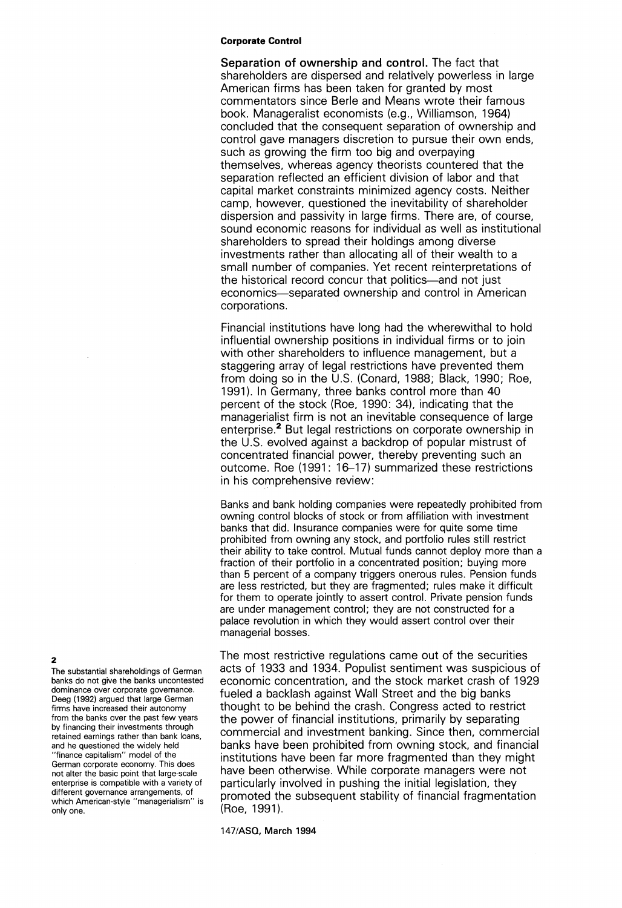Separation of ownership and control. The fact that shareholders are dispersed and relatively powerless in large American firms has been taken for granted by most commentators since Berle and Means wrote their famous book. Manageralist economists (e.g., Williamson, 1964) concluded that the consequent separation of ownership and control gave managers discretion to pursue their own ends, such as growing the firm too big and overpaying themselves, whereas agency theorists countered that the separation reflected an efficient division of labor and that capital market constraints minimized agency costs. Neither camp, however, questioned the inevitability of shareholder dispersion and passivity in large firms. There are, of course, sound economic reasons for individual as well as institutional shareholders to spread their holdings among diverse investments rather than allocating all of their wealth to a small number of companies. Yet recent reinterpretations of the historical record concur that politics-and not just economics-separated ownership and control in American corporations.

Financial institutions have long had the wherewithal to hold influential ownership positions in individual firms or to join with other shareholders to influence management, but a staggering array of legal restrictions have prevented them from doing so in the U.S. (Conard, 1988; Black, 1990; Roe, 1991). In Germany, three banks control more than 40 percent of the stock (Roe, 1990: 34), indicating that the managerialist firm is not an inevitable consequence of large enterprise.<sup>2</sup> But legal restrictions on corporate ownership in the U.S. evolved against a backdrop of popular mistrust of concentrated financial power, thereby preventing such an outcome. Roe (1991: 16-17) summarized these restrictions in his comprehensive review:

Banks and bank holding companies were repeatedly prohibited from owning control blocks of stock or from affiliation with investment banks that did. Insurance companies were for quite some time prohibited from owning any stock, and portfolio rules still restrict their ability to take control. Mutual funds cannot deploy more than a fraction of their portfolio in a concentrated position; buying more than 5 percent of a company triggers onerous rules. Pension funds are less restricted, but they are fragmented; rules make it difficult for them to operate jointly to assert control. Private pension funds are under management control; they are not constructed for a palace revolution in which they would assert control over their managerial bosses.

The most restrictive regulations came out of the securities acts of 1933 and 1934. Populist sentiment was suspicious of economic concentration, and the stock market crash of 1929 fueled a backlash against Wall Street and the big banks thought to be behind the crash. Congress acted to restrict the power of financial institutions, primarily by separating commercial and investment banking. Since then, commercial banks have been prohibited from owning stock, and financial institutions have been far more fragmented than they might have been otherwise. While corporate managers were not particularly involved in pushing the initial legislation, they promoted the subsequent stability of financial fragmentation (Roe, 1991).

147/ASQ, **March 1994** 

# 2

The substantial shareholdings of German banks do not give the banks uncontested dominance over corporate governance. Deeg (1992) argued that large German firms have increased their autonomy from the banks over the past few years by financing their investments through retained earnings rather than bank loans, and he questioned the widely held "finance capitalism" model of the German corporate economy. This does not alter the basic point that large-scale enterprise is compatible with a variety of different governance arrangements, of which American-style "managerialism" is onlv one.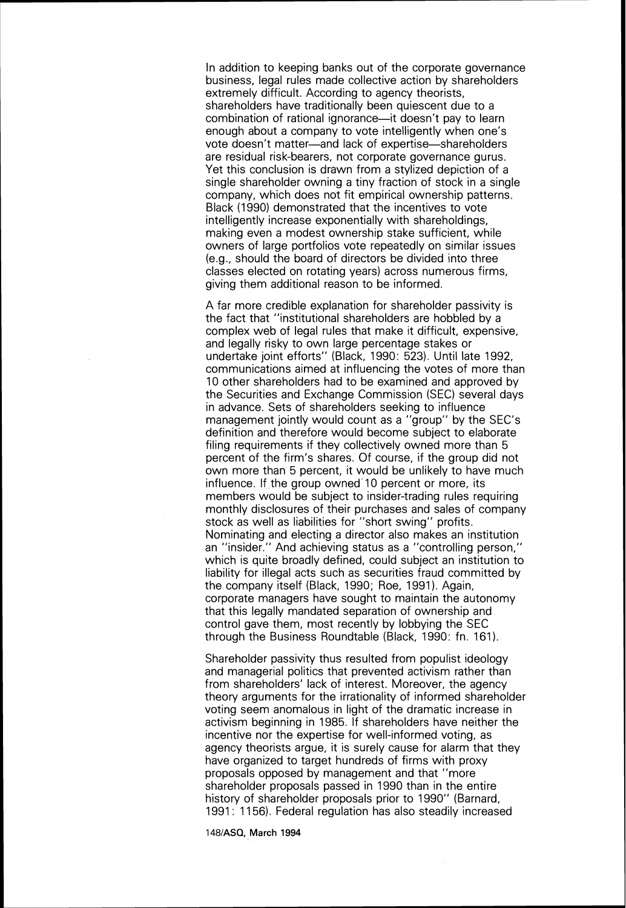In addition to keeping banks out of the corporate governance business, legal rules made collective action by shareholders extremely difficult. According to agency theorists, shareholders have traditionally been quiescent due to a combination of rational ignorance—it doesn't pay to learn enough about a company to vote intelligently when one's vote doesn't matter-and lack of expertise-shareholders are residual risk-bearers, not corporate governance gurus. Yet this conclusion is drawn from a stylized depiction of a single shareholder owning a tiny fraction of stock in a single company, which does not fit empirical ownership patterns. Black (1990) demonstrated that the incentives to vote intelligently increase exponentially with shareholdings, making even a modest ownership stake sufficient, while owners of large portfolios vote repeatedly on similar issues (e.g., should the board of directors be divided into three classes elected on rotating years) across numerous firms, giving them additional reason to be informed.

A far more credible explanation for shareholder passivity is the fact that "institutional shareholders are hobbled by a complex web of legal rules that make it difficult, expensive, and legally risky to own large percentage stakes or undertake joint efforts" (Black, 1990: 523). Until late 1992, communications aimed at influencing the votes of more than 10 other shareholders had to be examined and approved by the Securities and Exchange Commission (SEC) several days in advance. Sets of shareholders seeking to influence management jointly would count as a "group" by the SEC's definition and therefore would become subject to elaborate filing requirements if they collectively owned more than 5 percent of the firm's shares. Of course, if the group did not own more than 5 percent, it would be unlikely to have much influence. If the group owned 10 percent or more, its members would be subject to insider-trading rules requiring monthly disclosures of their purchases and sales of company stock as well as liabilities for "short swing" profits. Nominating and electing a director also makes an institution an "insider." And achieving status as a "controlling person," which is quite broadly defined, could subject an institution to liability for illegal acts such as securities fraud committed by the company itself (Black, 1990; Roe, 1991). Again, corporate managers have sought to maintain the autonomy that this legally mandated separation of ownership and control gave them, most recently by lobbying the SEC through the Business Roundtable (Black, 1990: fn. 161).

Shareholder passivity thus resulted from populist ideology and managerial politics that prevented activism rather than from shareholders' lack of interest. Moreover, the agency theory arguments for the irrationality of informed shareholder voting seem anomalous in light of the dramatic increase in activism beginning in 1985. If shareholders have neither the incentive nor the expertise for well-informed voting, as agency theorists argue, it is surely cause for alarm that they have organized to target hundreds of firms with proxy proposals opposed by management and that "more shareholder proposals passed in 1990 than in the entire history of shareholder proposals prior to 1990" (Barnard, 1991: 1 156). Federal regulation has also steadily increased

1481ASQ. **March 1994**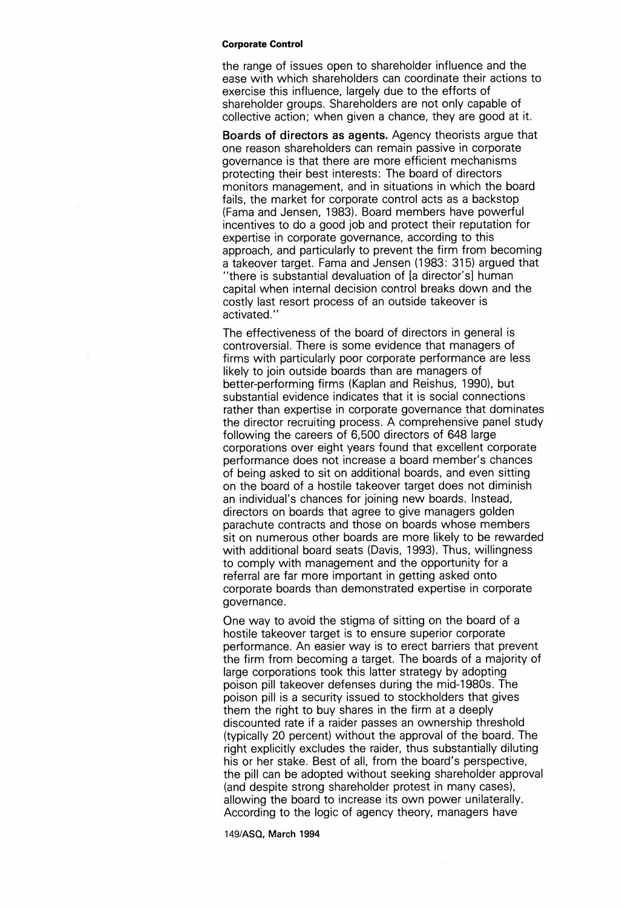the range of issues open to shareholder influence and the ease with which shareholders can coordinate their actions to exercise this influence, largely due to the efforts of shareholder groups. Shareholders are not only capable of collective action; when given a chance, they are good at it.

Boards of directors as agents. Agency theorists argue that one reason shareholders can remain passive in corporate governance is that there are more efficient mechanisms protecting their best interests: The board of directors monitors management, and in situations in which the board fails, the market for corporate control acts as a backstop (Fama and Jensen, 1983). Board members have powerful incentives to do a good job and protect their reputation for expertise in corporate governance, according to this approach, and particularly to prevent the firm from becoming a takeover target. Fama and Jensen (1983: 315) argued that "there is substantial devaluation of [a director's] human capital when internal decision control breaks down and the costly last resort process of an outside takeover is activated."

The effectiveness of the board of directors in general is controversial. There is some evidence that managers of firms with particularly poor corporate performance are less likely to join outside boards than are managers of better-performing firms (Kaplan and Reishus, 1990), but substantial evidence indicates that it is social connections rather than expertise in corporate governance that dominates the director recruiting process. A comprehensive panel study following the careers of 6,500 directors of 648 large corporations over eight years found that excellent corporate performance does not increase a board member's chances of being asked to sit on additional boards, and even sitting on the board of a hostile takeover target does not diminish an individual's chances for joining new boards. Instead, directors on boards that agree to give managers golden parachute contracts and those on boards whose members sit on numerous other boards are more likely to be rewarded with additional board seats (Davis, 1993). Thus, willingness to comply with management and the opportunity for a referral are far more important in getting asked onto corporate boards than demonstrated expertise in corporate governance.

One way to avoid the stigma of sitting on the board of a hostile takeover target is to ensure superior corporate performance. An easier way is to erect barriers that prevent the firm from becoming a target. The boards of a majority of large corporations took this latter strategy by adopting poison pill takeover defenses during the mid-1980s. The poison pill is a security issued to stockholders that gives them the right to buy shares in the firm at a deeply discounted rate if a raider passes an ownership threshold (typically 20 percent) without the approval of the board. The right explicitly excludes the raider, thus substantially diluting his or her stake. Best of all, from the board's perspective, the pill can be adopted without seeking shareholder approval (and despite strong shareholder protest in many cases), allowing the board to increase its own power unilaterally. According to the logic of agency theory, managers have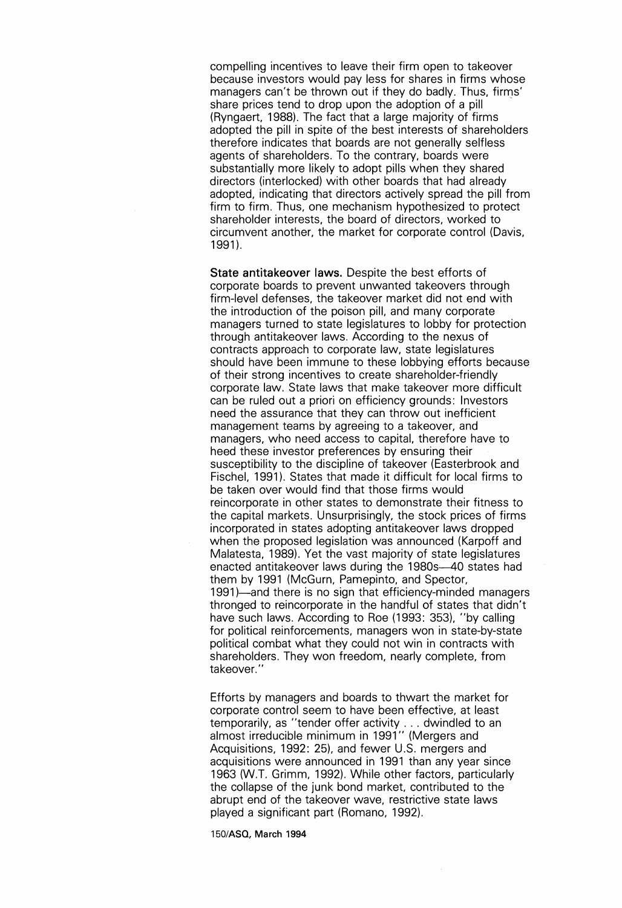compelling incentives to leave their firm open to takeover because investors would pay less for shares in firms whose managers can't be thrown out if they do badly. Thus, firms' share prices tend to drop upon the adoption of a pill (Ryngaert, 1988). The fact that a large majority of firms adopted the pill in spite of the best interests of shareholders therefore indicates that boards are not generally selfless agents of shareholders. To the contrary, boards were substantially more likely to adopt pills when they shared directors (interlocked) with other boards that had already adopted, indicating that directors actively spread the pill from firm to firm. Thus, one mechanism hypothesized to protect shareholder interests, the board of directors, worked to circumvent another, the market for corporate control (Davis, 1991).

State antitakeover laws. Despite the best efforts of corporate boards to prevent unwanted takeovers through firm-level defenses, the takeover market did not end with the introduction of the poison pill, and many corporate managers turned to state legislatures to lobby for protection through antitakeover laws. According to the nexus of contracts approach to corporate law, state legislatures should have been immune to these lobbying efforts because of their strong incentives to create shareholder-friendly corporate law. State laws that make takeover more difficult can be ruled out a priori on efficiency grounds: Investors need the assurance that they can throw out inefficient management teams by agreeing to a takeover, and managers, who need access to capital, therefore have to heed these investor preferences by ensuring their susceptibility to the discipline of takeover (Easterbrook and Fischel, 1991). States that made it difficult for local firms to be taken over would find that those firms would reincorporate in other states to demonstrate their fitness to the capital markets. Unsurprisingly, the stock prices of firms incorporated in states adopting antitakeover laws dropped when the proposed legislation was announced (Karpoff and Malatesta, 1989). Yet the vast majority of state legislatures enacted antitakeover laws during the 1980s-40 states had them by 1991 (McGurn, Pamepinto, and Spector, 1991)—and there is no sign that efficiency-minded managers thronged to reincorporate in the handful of states that didn't have such laws. According to Roe (1993: 353), "by calling for political reinforcements, managers won in state-by-state political combat what they could not win in contracts with shareholders. They won freedom, nearly complete, from takeover."

Efforts by managers and boards to thwart the market for corporate control seem to have been effective, at least temporarily, as "tender offer activity . . . dwindled to an almost irreducible minimum in 1991" (Mergers and Acquisitions, 1992: 25), and fewer U.S. mergers and acquisitions were announced in 1991 than any year since 1963 (W.T. Grimm, 1992). While other factors, particularly the collapse of the junk bond market, contributed to the abrupt end of the takeover wave, restrictive state laws played a significant part (Romano, 1992).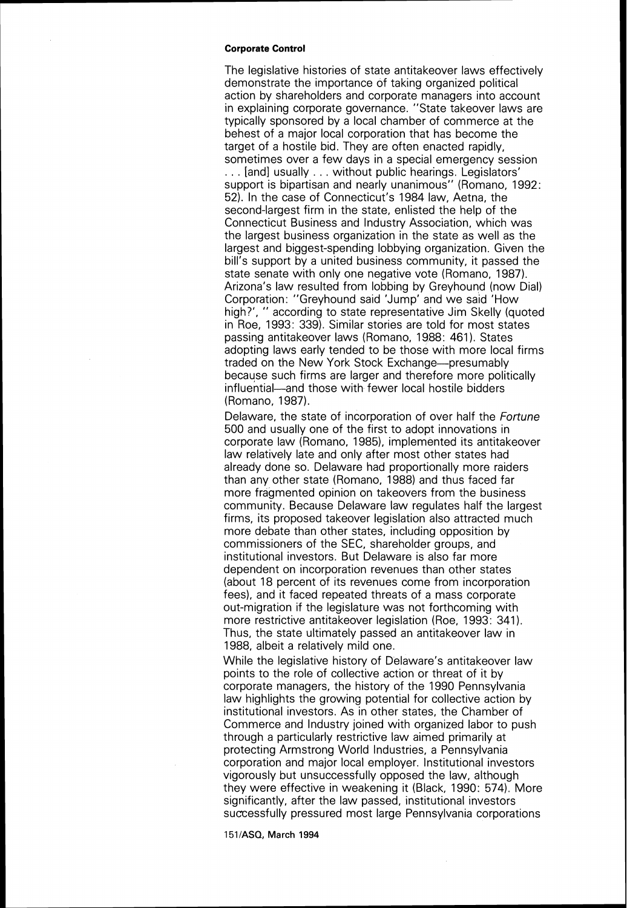The legislative histories of state antitakeover laws effectively demonstrate the importance of taking organized political action by shareholders and corporate managers into account in explaining corporate governance. "State takeover laws are typically sponsored by a local chamber of commerce at the behest of a major local corporation that has become the target of a hostile bid. They are often enacted rapidly, sometimes over a few days in a special emergency session . . . [and] usually . . . without public hearings. Legislators' support is bipartisan and nearly unanimous" (Romano, 1992: 52). In the case of Connecticut's 1984 law, Aetna, the second-largest firm in the state, enlisted the help of the Connecticut Business and lndustry Association, which was the largest business organization in the state as well as the largest and biggest-spending lobbying organization. Given the bill's support by a united business community, it passed the state senate with only one negative vote (Romano, 1987). Arizona's law resulted from lobbing by Greyhound (now Dial) Corporation: "Greyhound said 'Jump' and we said 'How high?', " according to state representative Jim Skelly (quoted in Roe, 1993: 339). Similar stories are told for most states passing antitakeover laws (Romano, 1988: 461). States adopting laws early tended to be those with more local firms traded on the New York Stock Exchange-presumably because such firms are larger and therefore more politically influential-and those with fewer local hostile bidders (Romano, 1987).

Delaware, the state of incorporation of over half the Fortune 500 and usually one of the first to adopt innovations in corporate law (Romano, 1985), implemented its antitakeover law relatively late and only after most other states had already done so. Delaware had proportionally more raiders than any other state (Romano, 1988) and thus faced far more fragmented opinion on takeovers from the business community. Because Delaware law regulates half the largest firms, its proposed takeover legislation also attracted much more debate than other states, including opposition by commissioners of the SEC, shareholder groups, and institutional investors. But Delaware is also far more dependent on incorporation revenues than other states (about 18 percent of its revenues come from incorporation fees), and it faced repeated threats of a mass corporate out-migration if the legislature was not forthcoming with more restrictive antitakeover legislation (Roe, 1993: 341). Thus, the state ultimately passed an antitakeover law in 1988, albeit a relatively mild one.

While the legislative history of Delaware's antitakeover law points to the role of collective action or threat of it by corporate managers, the history of the 1990 Pennsylvania law highlights the growing potential for collective action by institutional investors. As in other states, the Chamber of Commerce and lndustry joined with organized labor to push through a particularly restrictive law aimed primarily at protecting Armstrong World Industries, a Pennsylvania corporation and major local employer. Institutional investors vigorously but unsuccessfully opposed the law, although they were effective in weakening it (Black, 1990: 574). More significantly, after the law passed, institutional investors successfully pressured most large Pennsylvania corporations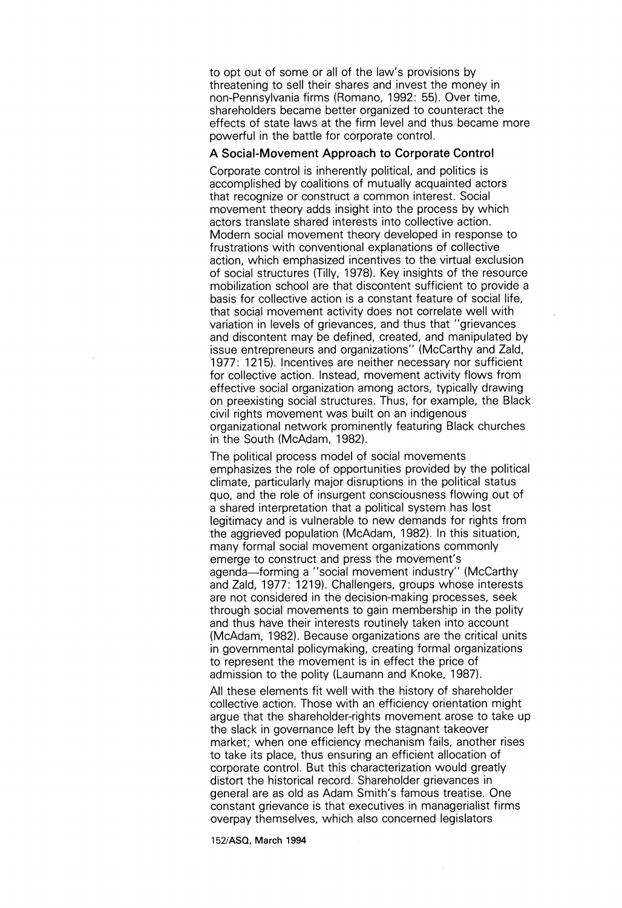to opt out of some or all of the law's provisions by threatening to sell their shares and invest the money in non-Pennsylvania firms (Romano, 1992: 55). Over time, shareholders became better organized to counteract the effects of state laws at the firm level and thus became more powerful in the battle for corporate control.

# A Social-Movement Approach to Corporate Control

Corporate control is inherently political, and politics is accomplished by coalitions of mutually acquainted actors that recognize or construct a common interest. Social movement theory adds insight into the process by which actors translate shared interests into collective action. Modern social movement theory developed in response to frustrations with conventional explanations of collective action, which emphasized incentives to the virtual exclusion of social structures (Tilly, 1978). Key insights of the resource mobilization school are that discontent sufficient to provide a basis for collective action is a constant feature of social life, that social movement activity does not correlate well with variation in levels of grievances, and thus that "grievances and discontent may be defined, created, and manipulated by issue entrepreneurs and organizations" (McCarthy and Zald, 1977: 1215). Incentives are neither necessary nor sufficient for collective action. Instead, movement activity flows from effective social organization among actors, typically drawing on preexisting social structures. Thus, for example, the Black civil rights movement was built on an indigenous organizational network prominently featuring Black churches in the South (McAdam, 1982).

The political process model of social movements emphasizes the role of opportunities provided by the political climate, particularly major disruptions in the political status quo, and the role of insurgent consciousness flowing out of a shared interpretation that a political system has lost legitimacy and is vulnerable to new demands for rights from the aggrieved population (McAdam, 1982). In this situation, many formal social movement organizations commonly emerge to construct and press the movement's agenda-forming a "social movement industry" (McCarthy and Zald, 1977: 1219). Challengers, groups whose interests are not considered in the decision-making processes, seek through social movements to gain membership in the polity and thus have their interests routinely taken into account (McAdam, 1982). Because organizations are the critical units in governmental policymaking, creating formal organizations to represent the movement is in effect the price of admission to the polity (Laumann and Knoke, 1987).

All these elements fit well with the history of shareholder collective action. Those with an efficiency orientation might argue that the shareholder-rights movement arose to take up the slack in governance left by the stagnant takeover market; when one efficiency mechanism fails, another rises to take its place, thus ensuring an efficient allocation of corporate control. But this characterization would greatly distort the historical record. Shareholder grievances in general are as old as Adam Smith's famous treatise. One constant grievance is that executives in managerialist firms overpay themselves, which also concerned legislators

1521ASO. March 1994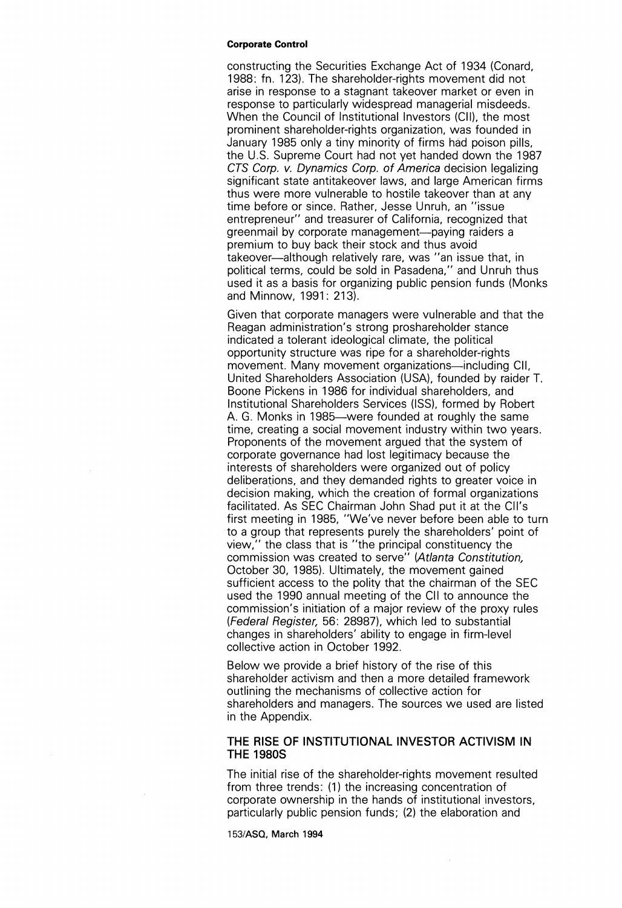constructing the Securities Exchange Act of 1934 (Conard, 1988: fn. 123). The shareholder-rights movement did not arise in response to a stagnant takeover market or even in response to particularly widespread managerial misdeeds. When the Council of Institutional Investors (CII), the most prominent shareholder-rights organization, was founded in January 1985 only a tiny minority of firms had poison pills, the U.S. Supreme Court had not yet handed down the 1987 CTS Corp, v. Dynamics Corp. of America decision legalizing significant state antitakeover laws, and large American firms thus were more vulnerable to hostile takeover than at any time before or since. Rather, Jesse Unruh, an "issue entrepreneur" and treasurer of California, recognized that greenmail by corporate management-paying raiders a premium to buy back their stock and thus avoid takeover-although relatively rare, was "an issue that, in political terms, could be sold in Pasadena," and Unruh thus used it as a basis for organizing public pension funds (Monks and Minnow, 1991: 213).

Given that corporate managers were vulnerable and that the Reagan administration's strong proshareholder stance indicated a tolerant ideological climate, the political opportunity structure was ripe for a shareholder-rights movement. Many movement organizations-including CII, United Shareholders Association (USA), founded by raider T. Boone Pickens in 1986 for individual shareholders, and Institutional Shareholders Services (ISS), formed by Robert A. G. Monks in 1985—were founded at roughly the same time, creating a social movement industry within two years. Proponents of the movement argued that the system of corporate governance had lost legitimacy because the interests of shareholders were organized out of policy deliberations, and they demanded rights to greater voice in decision making, which the creation of formal organizations facilitated. As SEC Chairman John Shad put it at the Cll's first meeting in 1985, "We've never before been able to turn to a group that represents purely the shareholders' point of view," the class that is "the principal constituency the commission was created to serve" (Atlanta Constitution, October 30, 1985). Ultimately, the movement gained sufficient access to the polity that the chairman of the SEC used the 1990 annual meeting of the CII to announce the commission's initiation of a major review of the proxy rules (Federal Register, 56: 28987), which led to substantial changes in shareholders' ability to engage in firm-level collective action in October 1992.

Below we provide a brief history of the rise of this shareholder activism and then a more detailed framework outlining the mechanisms of collective action for shareholders and managers. The sources we used are listed in the Appendix.

# THE RISE OF INSTITUTIONAL INVESTOR ACTIVISM IN THE 1980s

The initial rise of the shareholder-rights movement resulted from three trends: (1) the increasing concentration of corporate ownership in the hands of institutional investors, particularly public pension funds; (2) the elaboration and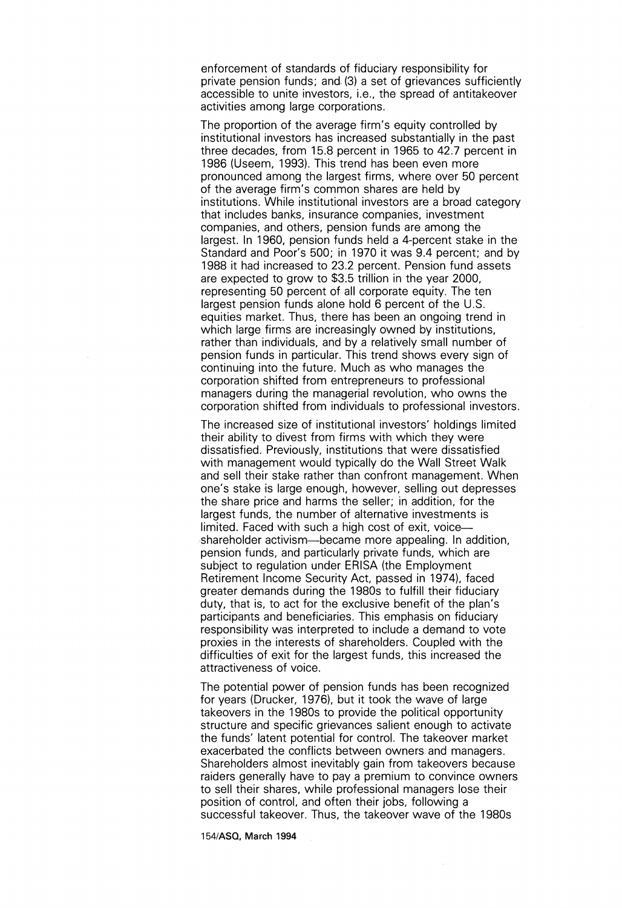enforcement of standards of fiduciary responsibility for private pension funds; and (3) a set of grievances sufficiently accessible to unite investors, i.e., the spread of antitakeover activities among large corporations.

The proportion of the average firm's equity controlled by institutional investors has increased substantially in the past three decades, from 15.8 percent in 1965 to 42.7 percent in 1986 (Useem, 1993). This trend has been even more pronounced among the largest firms, where over 50 percent of the average firm's common shares are held by institutions. While institutional investors are a broad category that includes banks, insurance companies, investment companies, and others, pension funds are among the largest. In 1960, pension funds held a 4-percent stake in the Standard and Poor's 500; in 1970 it was 9.4 percent; and by 1988 it had increased to 23.2 percent. Pension fund assets are expected to grow to \$3.5 trillion in the year 2000, representing 50 percent of all corporate equity. The ten largest pension funds alone hold 6 percent of the U.S. equities market. Thus, there has been an ongoing trend in which large firms are increasingly owned by institutions. rather than individuals, and by a relatively small number of pension funds in particular. This trend shows every sign of continuing into the future. Much as who manages the corporation shifted from entrepreneurs to professional managers during the managerial revolution, who owns the corporation shifted from individuals to professional investors.

The increased size of institutional investors' holdings limited their ability to divest from firms with which they were dissatisfied. Previously, institutions that were dissatisfied with management would typically do the Wall Street Walk and sell their stake rather than confront management. When one's stake is large enough, however, selling out depresses the share price and harms the seller; in addition, for the largest funds, the number of alternative investments is limited. Faced with such a high cost of exit, voiceshareholder activism-became more appealing. In addition, pension funds, and particularly private funds, which are subject to regulation under ERISA (the Employment Retirement Income Security Act, passed in 1974). faced greater demands during the 1980s to fulfill their fiduciary duty, that is, to act for the exclusive benefit of the plan's participants and beneficiaries. This emphasis on fiduciary responsibility was interpreted to include a demand to vote proxies in the interests of shareholders. Coupled with the difficulties of exit for the largest funds, this increased the attractiveness of voice.

The potential power of pension funds has been recognized for years (Drucker, 1976), but it took the wave of large takeovers in the 1980s to provide the political opportunity structure and specific grievances salient enough to activate the funds' latent potential for control. The takeover market exacerbated the conflicts between owners and managers. Shareholders almost inevitably gain from takeovers because raiders generally have to pay a premium to convince owners to sell their shares, while professional managers lose their position of control, and often their jobs, following a successful takeover. Thus, the takeover wave of the 1980s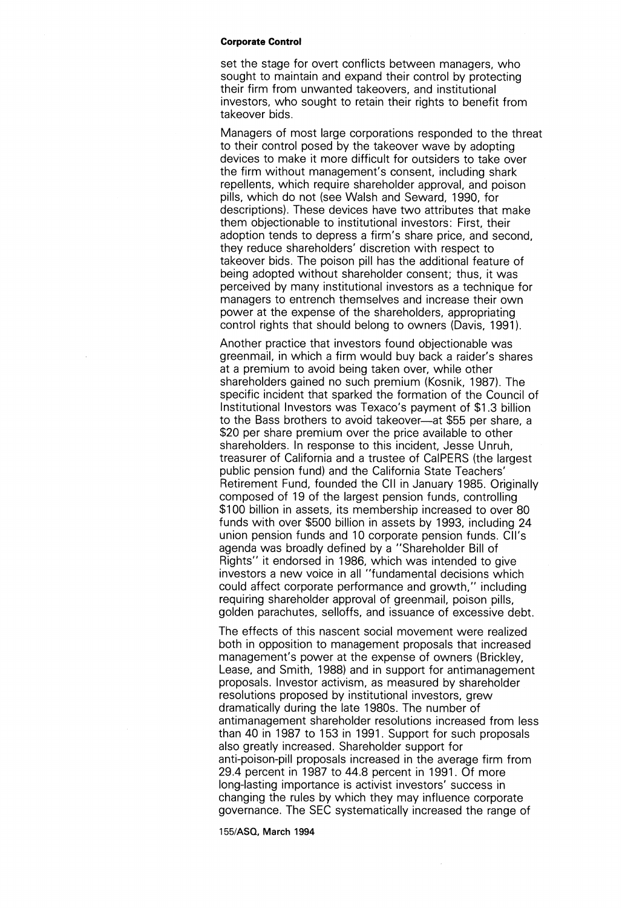set the stage for overt conflicts between managers, who sought to maintain and expand their control by protecting their firm from unwanted takeovers, and institutional investors, who sought to retain their rights to benefit from takeover bids.

Managers of most large corporations responded to the threat to their control posed by the takeover wave by adopting devices to make it more difficult for outsiders to take over the firm without management's consent, including shark repellents, which require shareholder approval, and poison pills, which do not (see Walsh and Seward, 1990, for descriptions). These devices have two attributes that make them objectionable to institutional investors: First, their adoption tends to depress a firm's share price, and second, they reduce shareholders' discretion with respect to takeover bids. The poison pill has the additional feature of being adopted without shareholder consent; thus, it was perceived by many institutional investors as a technique for managers to entrench themselves and increase their own power at the expense of the shareholders, appropriating control rights that should belong to owners (Davis, 1991).

Another practice that investors found objectionable was greenmail, in which a firm would buy back a raider's shares at a premium to avoid being taken over, while other shareholders gained no such premium (Kosnik, 1987). The specific incident that sparked the formation of the Council of Institutional Investors was Texaco's payment of \$1.3 billion to the Bass brothers to avoid takeover-at \$55 per share, a \$20 per share premium over the price available to other shareholders. In response to this incident, Jesse Unruh, treasurer of California and a trustee of CalPERS (the largest public pension fund) and the California State Teachers' Retirement Fund, founded the CII in January 1985. Originally composed of 19 of the largest pension funds, controlling \$100 billion in assets, its membership increased to over 80 funds with over \$500 billion in assets by 1993, including 24 union pension funds and 10 corporate pension funds. Cll's agenda was broadly defined by a "Shareholder Bill of Rights" it endorsed in 1986, which was intended to give investors a new voice in all "fundamental decisions which could affect corporate performance and growth," including requiring shareholder approval of greenmail, poison pills, golden parachutes, selloffs, and issuance of excessive debt.

The effects of this nascent social movement were realized both in opposition to management proposals that increased management's power at the expense of owners (Brickley, Lease, and Smith, 1988) and in support for antimanagement proposals, Investor activism, as measured by shareholder resolutions proposed by institutional investors, grew dramatically during the late 1980s. The number of antimanagement shareholder resolutions increased from less than 40 in 1987 to 153 in 1991. Support for such proposals also greatly increased. Shareholder support for anti-poison-pill proposals increased in the average firm from 29.4 percent in 1987 to 44.8 percent in 1991. Of more long-lasting importance is activist investors' success in changing the rules by which they may influence corporate governance. The SEC systematically increased the range of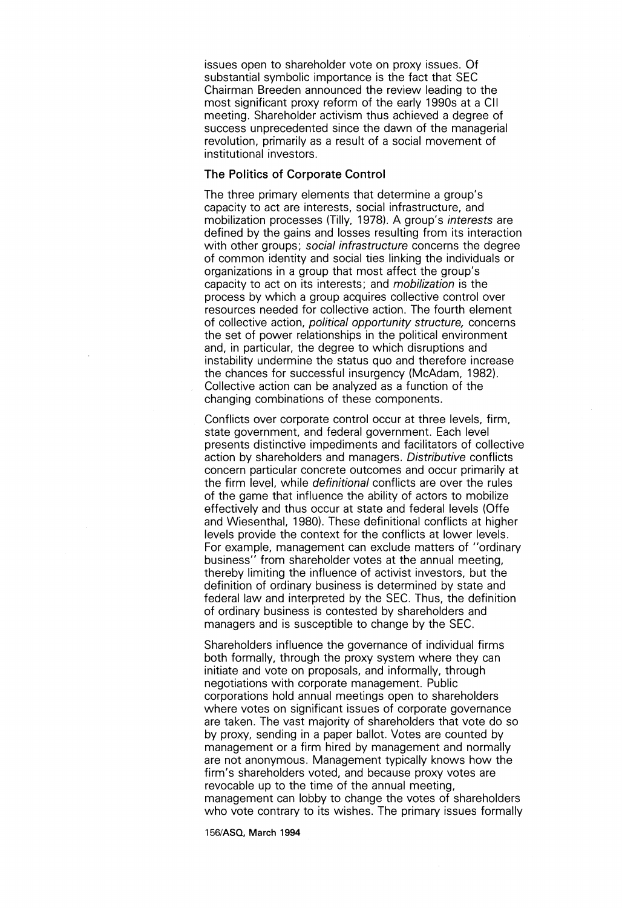issues open to shareholder vote on proxy issues. Of substantial symbolic importance is the fact that SEC Chairman Breeden announced the review leading to the most significant proxy reform of the early 1990s at a CII meeting. Shareholder activism thus achieved a degree of success unprecedented since the dawn of the managerial revolution, primarily as a result of a social movement of institutional investors.

# The Politics of Corporate Control

The three primary elements that determine a group's capacity to act are interests, social infrastructure, and mobilization processes (Tilly, 1978). A group's interests are defined by the gains and losses resulting from its interaction with other groups; social infrastructure concerns the degree of common identity and social ties linking the individuals or organizations in a group that most affect the group's capacity to act on its interests; and mobilization is the process by which a group acquires collective control over resources needed for collective action. The fourth element of collective action, political opportunity structure, concerns the set of power relationships in the political environment and, in particular, the degree to which disruptions and instability undermine the status quo and therefore increase the chances for successful insurgency (McAdam, 1982). Collective action can be analyzed as a function of the changing combinations of these components.

Conflicts over corporate control occur at three levels, firm, state government, and federal government. Each level presents distinctive impediments and facilitators of collective action by shareholders and managers. Distributive conflicts concern particular concrete outcomes and occur primarily at the firm level, while definitional conflicts are over the rules of the game that influence the ability of actors to mobilize effectively and thus occur at state and federal levels (Offe and Wiesenthal, 1980). These definitional conflicts at higher levels provide the context for the conflicts at lower levels. For example, management can exclude matters of "ordinary business" from shareholder votes at the annual meeting, thereby limiting the influence of activist investors, but the definition of ordinary business is determined by state and federal law and interpreted by the SEC. Thus, the definition of ordinary business is contested by shareholders and managers and is susceptible to change by the SEC.

Shareholders influence the governance of individual firms both formally, through the proxy system where they can initiate and vote on proposals, and informally, through negotiations with corporate management. Public corporations hold annual meetings open to shareholders where votes on significant issues of corporate governance are taken. The vast majority of shareholders that vote do so by proxy, sending in a paper ballot. Votes are counted by management or a firm hired by management and normally are not anonymous. Management typically knows how the firm's shareholders voted, and because proxy votes are revocable up to the time of the annual meeting, management can lobby to change the votes of shareholders who vote contrary to its wishes. The primary issues formally

156IASQ. March **1994**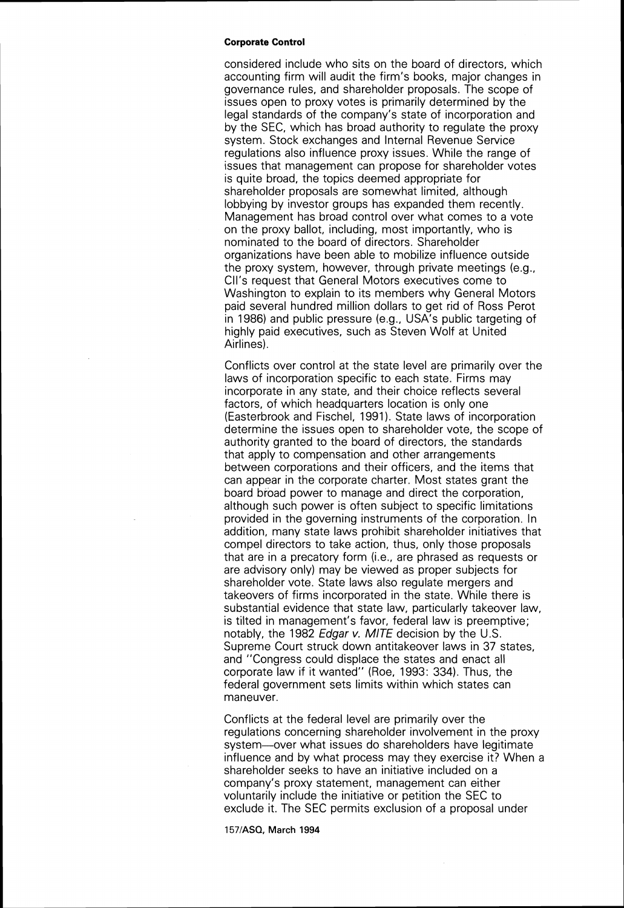considered include who sits on the board of directors, which accounting firm will audit the firm's books, major changes in governance rules, and shareholder proposals. The scope of issues open to proxy votes is primarily determined by the legal standards of the company's state of incorporation and by the SEC, which has broad authority to regulate the proxy system. Stock exchanges and Internal Revenue Service regulations also influence proxy issues. While the range of issues that management can propose for shareholder votes is quite broad, the topics deemed appropriate for shareholder proposals are somewhat limited, although lobbying by investor groups has expanded them recently. Management has broad control over what comes to a vote on the proxy ballot, including, most importantly, who is nominated to the board of directors. Shareholder organizations have been able to mobilize influence outside the proxy system, however, through private meetings (e.g., Cll's request that General Motors executives come to Washington to explain to its members why General Motors paid several hundred million dollars to get rid of Ross Perot in 1986) and public pressure (e.g., USA's public targeting of highly paid executives, such as Steven Wolf at United Airlines).

Conflicts over control at the state level are primarily over the laws of incorporation specific to each state. Firms may incorporate in any state, and their choice reflects several factors, of which headquarters location is only one (Easterbrook and Fischel, 1991). State laws of incorporation determine the issues open to shareholder vote, the scope of authority granted to the board of directors, the standards that apply to compensation and other arrangements between corporations and their officers, and the items that can appear in the corporate charter. Most states grant the board broad power to manage and direct the corporation, although such power is often subject to specific limitations provided in the governing instruments of the corporation. In addition, many state laws prohibit shareholder initiatives that compel directors to take action, thus, only those proposals that are in a precatory form (i.e., are phrased as requests or are advisory only) may be viewed as proper subjects for shareholder vote. State laws also regulate mergers and takeovers of firms incorporated in the state. While there is substantial evidence that state law, particularly takeover law, is tilted in management's favor, federal law is preemptive; notably, the 1982 Edgar v. MITE decision by the U.S. Supreme Court struck down antitakeover laws in 37 states, and "Congress could displace the states and enact all corporate law if it wanted" (Roe, 1993: 334). Thus, the federal government sets limits within which states can maneuver.

Conflicts at the federal level are primarily over the regulations concerning shareholder involvement in the proxy system-over what issues do shareholders have legitimate influence and by what process may they exercise it? When a shareholder seeks to have an initiative included on a company's proxy statement, management can either voluntarily include the initiative or petition the SEC to exclude it. The SEC permits exclusion of a proposal under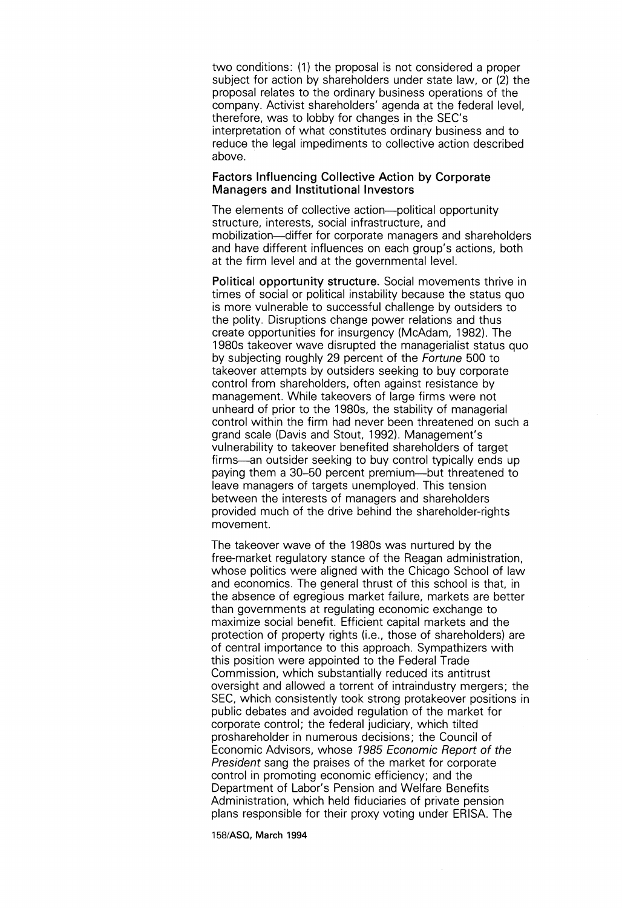two conditions: (1) the proposal is not considered a proper subject for action by shareholders under state law, or (2) the proposal relates to the ordinary business operations of the company. Activist shareholders' agenda at the federal level, therefore, was to lobby for changes in the SEC's interpretation of what constitutes ordinary business and to reduce the legal impediments to collective action described above.

# Factors Influencing Collective Action by Corporate Managers and Institutional Investors

The elements of collective action-political opportunity structure, interests, social infrastructure, and mobilization-differ for corporate managers and shareholders and have different influences on each group's actions, both at the firm level and at the governmental level.

Political opportunity structure. Social movements thrive in times of social or political instability because the status quo is more vulnerable to successful challenge by outsiders to the polity. Disruptions change power relations and thus create opportunities for insurgency (McAdam, 1982). The 1980s takeover wave disrupted the managerialist status quo by subjecting roughly 29 percent of the Fortune 500 to takeover attempts by outsiders seeking to buy corporate control from shareholders, often against resistance by management. While takeovers of large firms were not unheard of prior to the 1980s, the stability of managerial control within the firm had never been threatened on such a grand scale (Davis and Stout, 1992). Management's vulnerability to takeover benefited shareholders of target firms—an outsider seeking to buy control typically ends up paying them a 30-50 percent premium--but threatened to leave managers of targets unemployed. This tension between the interests of managers and shareholders provided much of the drive behind the shareholder-rights movement.

The takeover wave of the 1980s was nurtured by the free-market regulatory stance of the Reagan administration, whose politics were aligned with the Chicago School of law and economics. The general thrust of this school is that, in the absence of egregious market failure, markets are better than governments at regulating economic exchange to maximize social benefit. Efficient capital markets and the protection of property rights (i.e., those of shareholders) are of central importance to this approach. Sympathizers with this position were appointed to the Federal Trade Commission, which substantially reduced its antitrust oversight and allowed a torrent of intraindustry mergers; the SEC, which consistently took strong protakeover positions in public debates and avoided regulation of the market for corporate control; the federal judiciary, which tilted proshareholder in numerous decisions; the Council of Economic Advisors, whose 1985 Economic Report of the President sang the praises of the market for corporate control in promoting economic efficiency; and the Department of Labor's Pension and Welfare Benefits Administration, which held fiduciaries of private pension plans responsible for their proxy voting under ERISA. The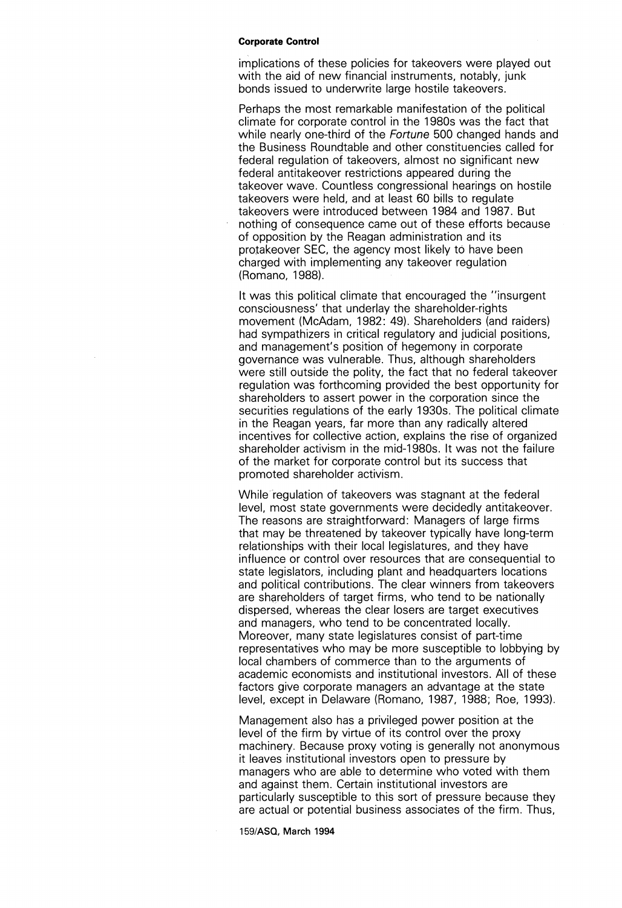implications of these policies for takeovers were played out with the aid of new financial instruments, notably, junk bonds issued to underwrite large hostile takeovers.

Perhaps the most remarkable manifestation of the political climate for corporate control in the 1980s was the fact that while nearly one-third of the Fortune 500 changed hands and the Business Roundtable and other constituencies called for federal regulation of takeovers, almost no significant new federal antitakeover restrictions appeared during the takeover wave. Countless congressional hearings on hostile takeovers were held, and at least 60 bills to regulate takeovers were introduced between 1984 and 1987. But nothing of consequence came out of these efforts because of opposition by the Reagan administration and its protakeover SEC, the agency most likely to have been charged with implementing any takeover regulation (Romano, 1988).

It was this political climate that encouraged the "insurgent consciousness' that underlay the shareholder-rights movement (McAdam, 1982: 49). Shareholders (and raiders) had sympathizers in critical regulatory and judicial positions, and management's position of hegemony in corporate governance was vulnerable. Thus, although shareholders were still outside the polity, the fact that no federal takeover regulation was forthcoming provided the best opportunity for shareholders to assert power in the corporation since the securities regulations of the early 1930s. The political climate in the Reagan years, far more than any radically altered incentives for collective action, explains the rise of organized shareholder activism in the mid-1980s. It was not the failure of the market for corporate control but its success that promoted shareholder activism.

While regulation of takeovers was stagnant at the federal level, most state governments were decidedly antitakeover. The reasons are straightforward: Managers of large firms that may be threatened by takeover typically have long-term relationships with their local legislatures, and they have influence or control over resources that are consequential to state legislators, including plant and headquarters locations and political contributions. The clear winners from takeovers are shareholders of target firms, who tend to be nationally dispersed, whereas the clear losers are target executives and managers, who tend to be concentrated locally. Moreover, many state legislatures consist of part-time representatives who may be more susceptible to lobbying by local chambers of commerce than to the arguments of academic economists and institutional investors. All of these factors give corporate managers an advantage at the state level, except in Delaware (Romano, 1987, 1988; Roe, 1993).

Management also has a privileged power position at the level of the firm by virtue of its control over the proxy machinery. Because proxy voting is generally not anonymous it leaves institutional investors open to pressure by managers who are able to determine who voted with them and against them. Certain institutional investors are particularly susceptible to this sort of pressure because they are actual or potential business associates of the firm. Thus,

159IASQ. March **1994**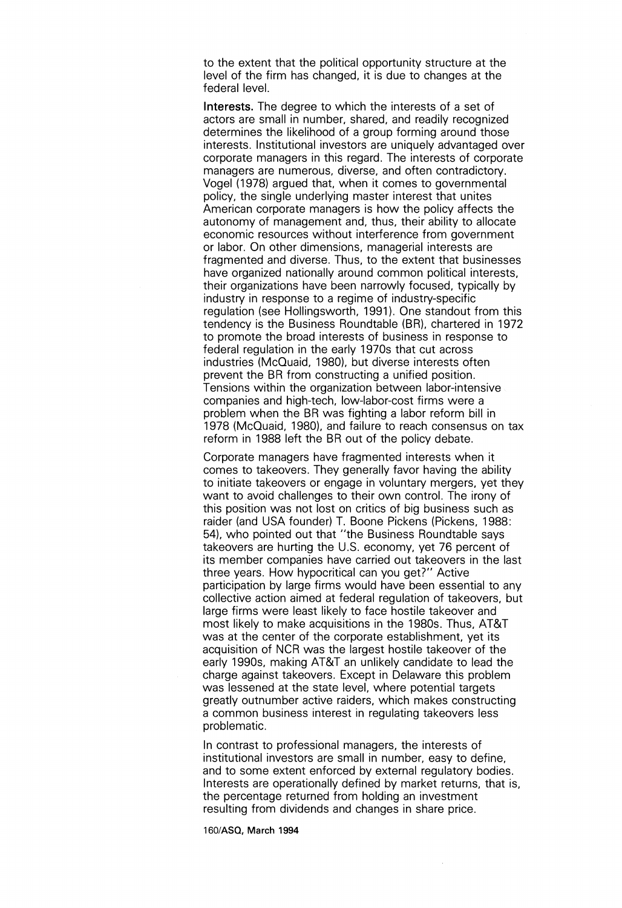to the extent that the political opportunity structure at the level of the firm has changed, it is due to changes at the federal level.

Interests. The degree to which the interests of a set of actors are small in number, shared, and readily recognized determines the likelihood of a group forming around those interests. Institutional investors are uniquely advantaged over corporate managers in this regard. The interests of corporate managers are numerous, diverse, and often contradictory. Vogel (1978) argued that, when it comes to governmental policy, the single underlying master interest that unites American corporate managers is how the policy affects the autonomy of management and, thus, their ability to allocate economic resources without interference from government or labor. On other dimensions, managerial interests are fragmented and diverse. Thus, to the extent that businesses have organized nationally around common political interests, their organizations have been narrowly focused, typically by industry in response to a regime of industry-specific regulation (see Hollingsworth, 1991). One standout from this tendency is the Business Roundtable (BR), chartered in 1972 to promote the broad interests of business in response to federal regulation in the early 1970s that cut across industries (McQuaid, 1980), but diverse interests often prevent the BR from constructing a unified position. Tensions within the organization between labor-intensive companies and high-tech, low-labor-cost firms were a problem when the BR was fighting a labor reform bill in 1978 (McQuaid, 1980), and failure to reach consensus on tax reform in 1988 left the BR out of the policy debate.

Corporate managers have fragmented interests when it comes to takeovers. They generally favor having the ability to initiate takeovers or engage in voluntary mergers, yet they want to avoid challenges to their own control. The irony of this position was not lost on critics of big business such as raider (and USA founder) T. Boone Pickens (Pickens, 1988: 54), who pointed out that "the Business Roundtable says takeovers are hurting the U.S. economy, yet 76 percent of its member companies have carried out takeovers in the last three years. How hypocritical can you get?" Active participation by large firms would have been essential to any collective action aimed at federal regulation of takeovers, but large firms were least likely to face hostile takeover and most likely to make acquisitions in the 1980s. Thus, AT&T was at the center of the corporate establishment, yet its acquisition of NCR was the largest hostile takeover of the early 1990s, making AT&T an unlikely candidate to lead the charge against takeovers. Except in Delaware this problem was lessened at the state level, where potential targets greatly outnumber active raiders, which makes constructing a common business interest in regulating takeovers less problematic.

In contrast to professional managers, the interests of institutional investors are small in number, easy to define, and to some extent enforced by external regulatory bodies. Interests are operationally defined by market returns, that is, the percentage returned from holding an investment resulting from dividends and changes in share price.

1**GOIASO,** March **1994**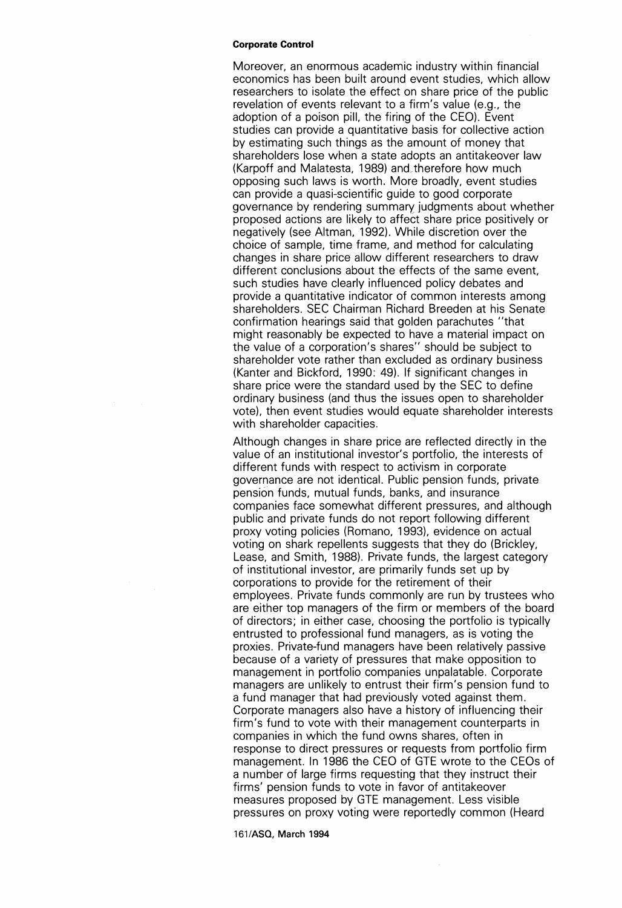Moreover, an enormous academic industry within financial economics has been built around event studies, which allow researchers to isolate the effect on share price of the public revelation of events relevant to a firm's value (e.g., the adoption of a poison pill, the firing of the CEO). Event studies can provide a quantitative basis for collective action by estimating such things as the amount of money that shareholders lose when a state adopts an antitakeover law (Karpoff and Malatesta, 1989) and-therefore how much opposing such laws is worth. More broadly, event studies can provide a quasi-scientific guide to good corporate governance by rendering summary judgments about whether proposed actions are likely to affect share price positively or negatively (see Altman, 1992). While discretion over the choice of sample, time frame, and method for calculating changes in share price allow different researchers to draw different conclusions about the effects of the same event, such studies have clearly influenced policy debates and provide a quantitative indicator of common interests among shareholders. SEC Chairman Richard Breeden at his Senate confirmation hearings said that golden parachutes "that might reasonably be expected to have a material impact on the value of a corporation's shares" should be subject to shareholder vote rather than excluded as ordinary business (Kanter and Bickford, 1990: 49). If significant changes in share price were the standard used by the SEC to define ordinary business (and thus the issues open to shareholder vote), then event studies would equate shareholder interests with shareholder capacities.

Although changes in share price are reflected directly in the value of an institutional investor's portfolio, the interests of different funds with respect to activism in corporate governance are not identical. Public pension funds, private pension funds, mutual funds, banks, and insurance companies face somewhat different pressures, and although public and private funds do not report following different proxy voting policies (Romano, 1993), evidence on actual voting on shark repellents suggests that they do (Brickley, Lease, and Smith, 1988). Private funds, the largest category of institutional investor, are primarily funds set up by corporations to provide for the retirement of their employees. Private funds commonly are run by trustees who are either top managers of the firm or members of the board of directors; in either case, choosing the portfolio is typically entrusted to professional fund managers, as is voting the proxies. Private-fund managers have been relatively passive because of a variety of pressures that make opposition to management in portfolio companies unpalatable. Corporate managers are unlikely to entrust their firm's pension fund to a fund manager that had previously voted against them. Corporate managers also have a history of influencing their firm's fund to vote with their management counterparts in companies in which the fund owns shares, often in response to direct pressures or requests from portfolio firm management. In 1986 the CEO of GTE wrote to the CEOs of a number of large firms requesting that they instruct their firms' pension funds to vote in favor of antitakeover measures proposed by GTE management. Less visible pressures on proxy voting were reportedly common (Heard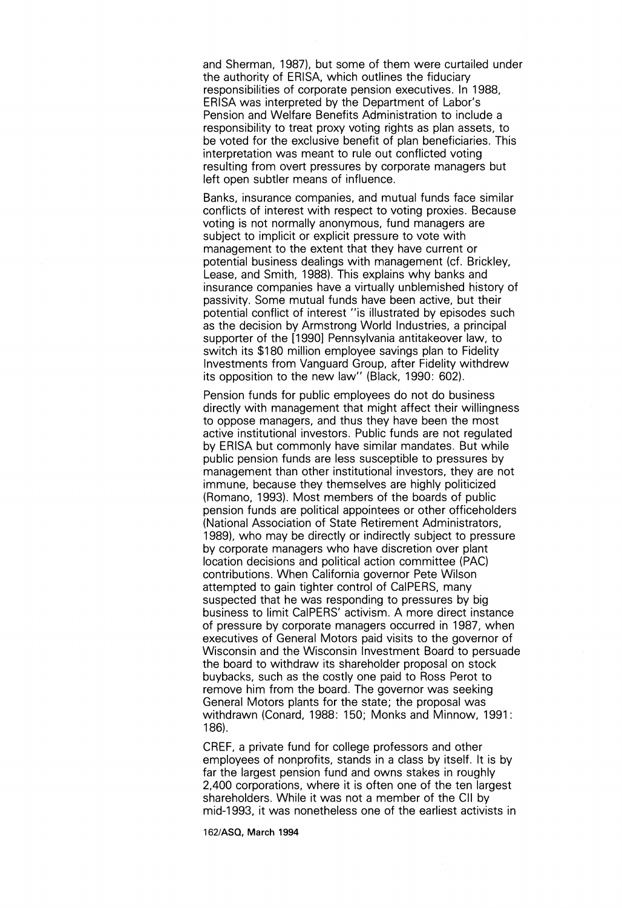and Sherman, 1987), but some of them were curtailed under the authority of ERISA, which outlines the fiduciary responsibilities of corporate pension executives. In 1988, ERISA was interpreted by the Department of Labor's Pension and Welfare Benefits Administration to include a responsibility to treat proxy voting rights as plan assets, to be voted for the exclusive benefit of plan beneficiaries. This interpretation was meant to rule out conflicted voting resulting from overt pressures by corporate managers but left open subtler means of influence.

Banks, insurance companies, and mutual funds face similar conflicts of interest with respect to voting proxies. Because voting is not normally anonymous, fund managers are subject to implicit or explicit pressure to vote with management to the extent that they have current or potential business dealings with management (cf. Brickley, Lease, and Smith, 1988). This explains why banks and insurance companies have a virtually unblemished history of passivity. Some mutual funds have been active, but their potential conflict of interest "is illustrated by episodes such as the decision by Armstrong World Industries, a principal supporter of the [1990] Pennsylvania antitakeover law, to switch its \$180 million employee savings plan to Fidelity Investments from Vanguard Group, after Fidelity withdrew its opposition to the new law" (Black, 1990: 602).

Pension funds for public employees do not do business directly with management that might affect their willingness to oppose managers, and thus they have been the most active institutional investors. Public funds are not regulated by ERISA but commonly have similar mandates. But while public pension funds are less susceptible to pressures by management than other institutional investors, they are not immune, because they themselves are highly politicized (Romano, 1993). Most members of the boards of public pension funds are political appointees or other officeholders (National Association of State Retirement Administrators, 1989), who may be directly or indirectly subject to pressure by corporate managers who have discretion over plant location decisions and political action committee (PAC) contributions. When California governor Pete Wilson attempted to gain tighter control of CalPERS, many suspected that he was responding to pressures by big business to limit CalPERS' activism. A more direct instance of pressure by corporate managers occurred in 1987, when executives of General Motors paid visits to the governor of Wisconsin and the Wisconsin Investment Board to persuade the board to withdraw its shareholder proposal on stock buybacks, such as the costly one paid to Ross Perot to remove him from the board. The governor was seeking General Motors plants for the state; the proposal was withdrawn (Conard, 1988: 150; Monks and Minnow, 1991 : 186).

CREF, a private fund for college professors and other employees of nonprofits, stands in a class by itself. It is by far the largest pension fund and owns stakes in roughly 2,400 corporations, where it is often one of the ten largest shareholders. While it was not a member of the CII by mid-1993, it was nonetheless one of the earliest activists in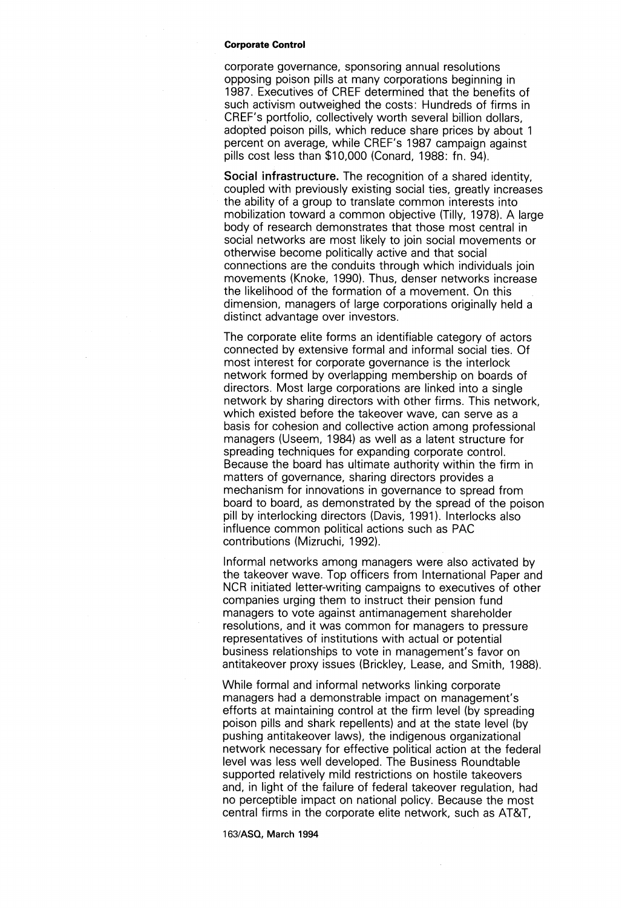corporate governance, sponsoring annual resolutions opposing poison pills at many corporations beginning in 1987. Executives of CREF determined that the benefits of such activism outweighed the costs: Hundreds of firms in CREF's portfolio, collectively worth several billion dollars, adopted poison pills, which reduce share prices by about 1 percent on average, while CREF's 1987 campaign against pills cost less than \$10,000 (Conard, 1988: fn. 94).

Social infrastructure. The recognition of a shared identity. coupled with previously existing social ties, greatly increases the ability of a group to translate common interests into mobilization toward a common objective (Tilly, 1978). A large body of research demonstrates that those most central in social networks are most likely to join social movements or otherwise become politically active and that social connections are the conduits through which individuals join movements (Knoke, 1990). Thus, denser networks increase the likelihood of the formation of a movement. On this dimension, managers of large corporations originally held a distinct advantage over investors.

The corporate elite forms an identifiable category of actors connected by extensive formal and informal social ties. Of most interest for corporate governance is the interlock network formed by overlapping membership on boards of directors. Most large corporations are linked into a single network by sharing directors with other firms. This network, which existed before the takeover wave, can serve as a basis for cohesion and collective action among professional managers (Useem, 1984) as well as a latent structure for spreading techniques for expanding corporate control. Because the board has ultimate authority within the firm in matters of governance, sharing directors provides a mechanism for innovations in governance to spread from board to board, as demonstrated by the spread of the poison pill by interlocking directors (Davis, 1991). Interlocks also influence common political actions such as PAC contributions (Mizruchi, 1992).

Informal networks among managers were also activated by the takeover wave. Top officers from International Paper and NCR initiated letter-writing campaigns to executives of other companies urging them to instruct their pension fund managers to vote against antimanagement shareholder resolutions, and it was common for managers to pressure representatives of institutions with actual or potential business relationships to vote in management's favor on antitakeover proxy issues (Brickley, Lease, and Smith, 1988).

While formal and informal networks linking corporate managers had a demonstrable impact on management's efforts at maintaining control at the firm level (by spreading poison pills and shark repellents) and at the state level (by pushing antitakeover laws), the indigenous organizational network necessary for effective political action at the federal level was less well developed. The Business Roundtable supported relatively mild restrictions on hostile takeovers and, in light of the failure of federal takeover regulation, had no perceptible impact on national policy. Because the most central firms in the corporate elite network, such as AT&T,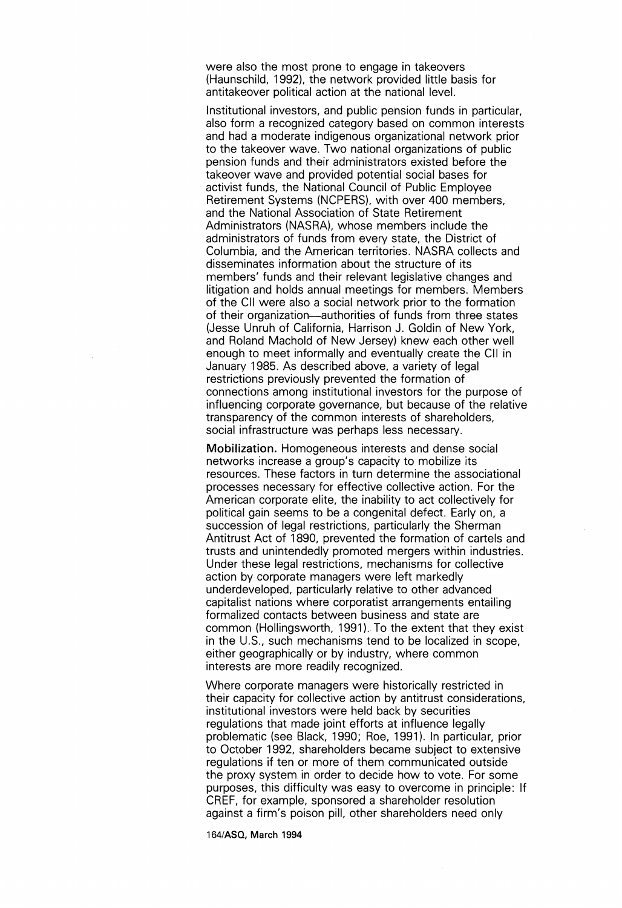were also the most prone to engage in takeovers (Haunschild, 1992), the network provided little basis for antitakeover political action at the national level.

Institutional investors, and public pension funds in particular, also form a recognized category based on common interests and had a moderate indigenous organizational network prior to the takeover wave. Two national organizations of public pension funds and their administrators existed before the takeover wave and provided potential social bases for activist funds, the National Council of Public Employee Retirement Systems (NCPERS), with over 400 members, and the National Association of State Retirement Administrators (NASRA), whose members include the administrators of funds from every state, the District of Columbia, and the American territories. NASRA collects and disseminates information about the structure of its members' funds and their relevant legislative changes and litigation and holds annual meetings for members. Members of the CII were also a social network prior to the formation of their organization-authorities of funds from three states (Jesse Unruh of California, Harrison J. Goldin of New York, and Roland Machold of New Jersey) knew each other well enough to meet informally and eventually create the CII in January 1985. As described above, a variety of legal restrictions previously prevented the formation of connections among institutional investors for the purpose of influencing corporate governance, but because of the relative transparency of the common interests of shareholders, social infrastructure was perhaps less necessary.

Mobilization. Homogeneous interests and dense social networks increase a group's capacity to mobilize its resources. These factors in turn determine the associational processes necessary for effective collective action. For the American corporate elite, the inability to act collectively for political gain seems to be a congenital defect. Early on, a succession of legal restrictions, particularly the Sherman Antitrust Act of 1890, prevented the formation of cartels and trusts and unintendedly promoted mergers within industries. Under these legal restrictions, mechanisms for collective action by corporate managers were left markedly underdeveloped, particularly relative to other advanced capitalist nations where corporatist arrangements entailing formalized contacts between business and state are common (Hollingsworth, 1991). To the extent that they exist in the U.S., such mechanisms tend to be localized in scope, either geographically or by industry, where common interests are more readily recognized.

Where corporate managers were historically restricted in their capacity for collective action by antitrust considerations, institutional investors were held back by securities regulations that made joint efforts at influence legally problematic (see Black, 1990; Roe, 1991 ). In particular, prior to October 1992, shareholders became subject to extensive regulations if ten or more of them communicated outside the proxy system in order to decide how to vote. For some purposes, this difficulty was easy to overcome in principle: If CREF, for example, sponsored a shareholder resolution against a firm's poison pill, other shareholders need only

1641ASQ. March **1994**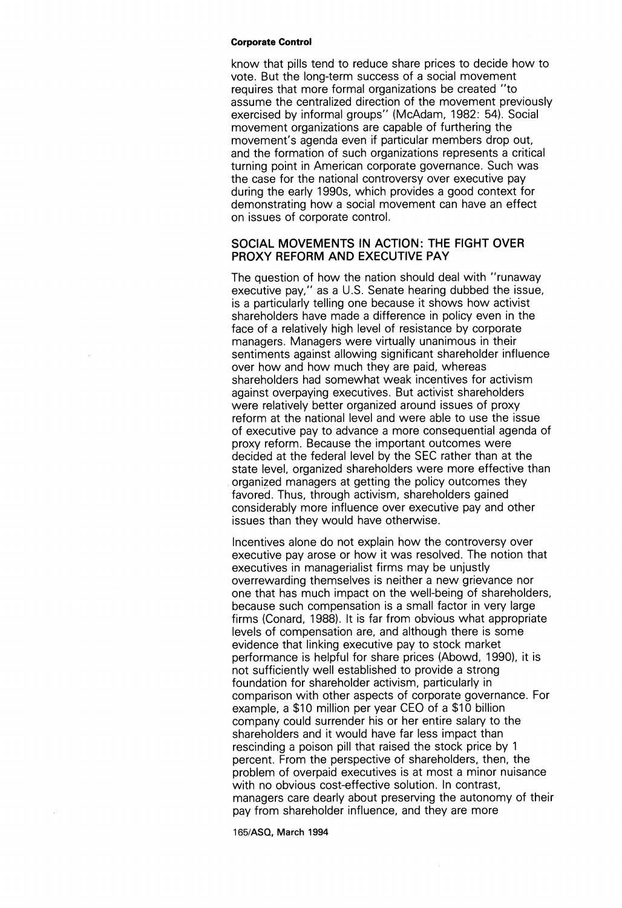know that pills tend to reduce share prices to decide how to vote. But the long-term success of a social movement requires that more formal organizations be created "to assume the centralized direction of the movement previously exercised by informal groups" (McAdam, 1982: 54). Social movement organizations are capable of furthering the movement's agenda even if particular members drop out, and the formation of such organizations represents a critical turning point in American corporate governance. Such was the case for the national controversy over executive pay during the early 1990s, which provides a good context for demonstrating how a social movement can have an effect on issues of corporate control.

# SOCIAL MOVEMENTS IN ACTION: THE FIGHT OVER PROXY REFORM AND EXECUTIVE PAY

The question of how the nation should deal with "runaway executive pay," as a U.S. Senate hearing dubbed the issue, is a particularly telling one because it shows how activist shareholders have made a difference in policy even in the face of a relatively high level of resistance by corporate managers. Managers were virtually unanimous in their sentiments against allowing significant shareholder influence over how and how much they are paid, whereas shareholders had somewhat weak incentives for activism against overpaying executives. But activist shareholders were relatively better organized around issues of proxy reform at the national level and were able to use the issue of executive pay to advance a more consequential agenda of proxy reform. Because the important outcomes were decided at the federal level by the SEC rather than at the state level, organized shareholders were more effective than organized managers at getting the policy outcomes they favored. Thus, through activism, shareholders gained considerably more influence over executive pay and other issues than they would have otherwise.

Incentives alone do not explain how the controversy over executive pay arose or how it was resolved. The notion that executives in managerialist firms may be unjustly overrewarding themselves is neither a new grievance nor one that has much impact on the well-being of shareholders, because such compensation is a small factor in very large firms (Conard, 1988). It is far from obvious what appropriate levels of compensation are, and although there is some evidence that linking executive pay to stock market performance is helpful for share prices (Abowd, 1990), it is not sufficiently well established to provide a strong foundation for shareholder activism, particularly in comparison with other aspects of corporate governance. For example, a \$10 million per year CEO of a \$10 billion company could surrender his or her entire salary to the shareholders and it would have far less impact than rescinding a poison pill that raised the stock price by 1 percent. From the perspective of shareholders, then, the problem of overpaid executives is at most a minor nuisance with no obvious cost-effective solution. In contrast, managers care dearly about preserving the autonomy of their pay from shareholder influence, and they are more

165IASQ. **March** 1994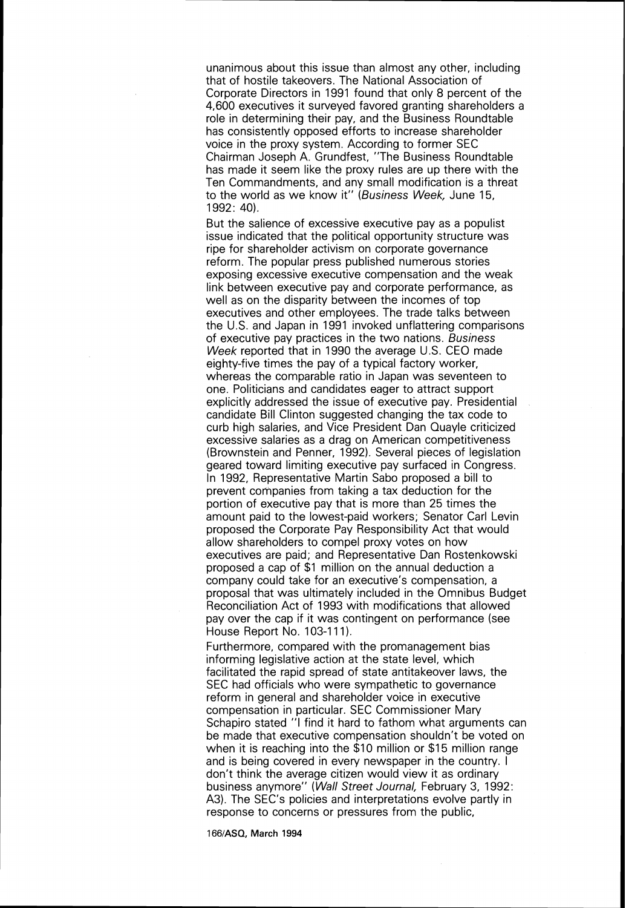unanimous about this issue than almost any other, including that of hostile takeovers. The National Association of Corporate Directors in 1991 found that only 8 percent of the 4,600 executives it surveyed favored granting shareholders a role in determining their pay, and the Business Roundtable has consistently opposed efforts to increase shareholder voice in the proxy system. According to former SEC Chairman Joseph A. Grundfest, "The Business Roundtable has made it seem like the proxy rules are up there with the Ten Commandments, and any small modification is a threat to the world as we know it" (Business Week, June 15, 1992: 40).

But the salience of excessive executive pay as a populist issue indicated that the political opportunity structure was ripe for shareholder activism on corporate governance reform. The popular press published numerous stories exposing excessive executive compensation and the weak link between executive pay and corporate performance, as well as on the disparity between the incomes of top executives and other employees. The trade talks between the U.S. and Japan in 1991 invoked unflattering comparisons of executive pay practices in the two nations. Business Week reported that in 1990 the average U.S. CEO made eighty-five times the pay of a typical factory worker, whereas the comparable ratio in Japan was seventeen to one. Politicians and candidates eager to attract support explicitly addressed the issue of executive pay. Presidential candidate Bill Clinton suggested changing the tax code to curb high salaries, and Vice President Dan Quayle criticized excessive salaries as a drag on American competitiveness (Brownstein and Penner, 1992). Several pieces of legislation geared toward limiting executive pay surfaced in Congress. In 1992, Representative Martin Sabo proposed a bill to prevent companies from taking a tax deduction for the portion of executive pay that is more than 25 times the amount paid to the lowest-paid workers; Senator Carl Levin proposed the Corporate Pay Responsibility Act that would allow shareholders to compel proxy votes on how executives are paid; and Representative Dan Rostenkowski proposed a cap of \$1 million on the annual deduction a company could take for an executive's compensation, a proposal that was ultimately included in the Omnibus Budget Reconciliation Act of 1993 with modifications that allowed pay over the cap if it was contingent on performance (see House Report No. 103-111).

Furthermore, compared with the promanagement bias informing legislative action at the state level, which facilitated the rapid spread of state antitakeover laws, the SEC had officials who were sympathetic to governance reform in general and shareholder voice in executive compensation in particular. SEC Commissioner Mary Schapiro stated "I find it hard to fathom what arguments can be made that executive compensation shouldn't be voted on when it is reaching into the \$10 million or \$15 million range and is being covered in every newspaper in the country. I don't think the average citizen would view it as ordinary business anymore" (Wall Street Journal, February 3, 1992: A3). The SEC's policies and interpretations evolve partly in response to concerns or pressures from the public,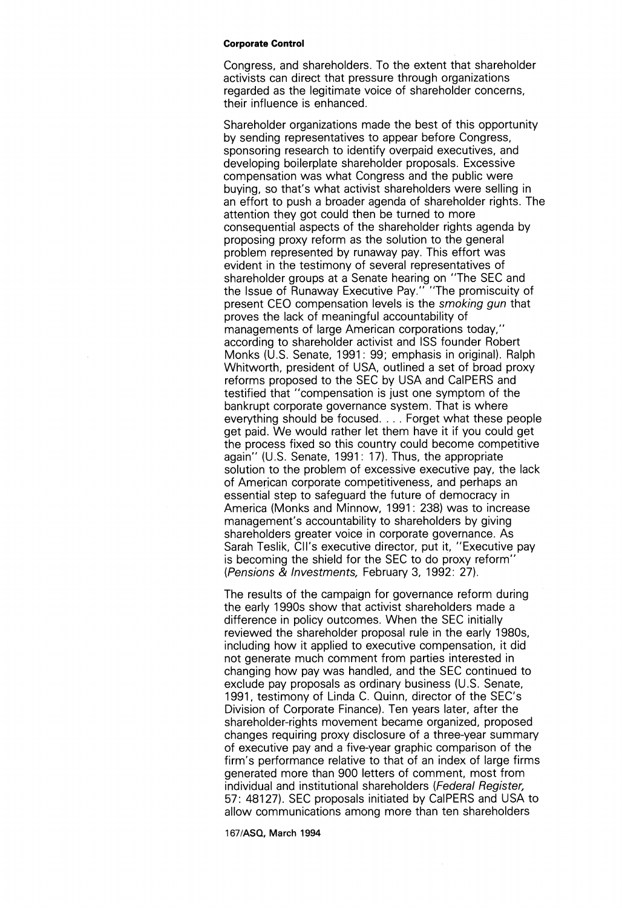Congress, and shareholders. To the extent that shareholder activists can direct that pressure through organizations regarded as the legitimate voice of shareholder concerns, their influence is enhanced.

Shareholder organizations made the best of this opportunity by sending representatives to appear before Congress, sponsoring research to identify overpaid executives, and developing boilerplate shareholder proposals. Excessive compensation was what Congress and the public were buying, so that's what activist shareholders were selling in an effort to push a broader agenda of shareholder rights. The attention they got could then be turned to more consequential aspects of the shareholder rights agenda by proposing proxy reform as the solution to the general problem represented by runaway pay. This effort was evident in the testimony of several representatives of shareholder groups at a Senate hearing on "The SEC and the Issue of Runaway Executive Pay." "The promiscuity of present CEO compensation levels is the *smoking gun* that proves the lack of meaningful accountability of managements of large American corporations today," according to shareholder activist and ISS founder Robert Monks (U.S. Senate, 1991: 99; emphasis in original). Ralph Whitworth, president of USA, outlined a set of broad proxy reforms proposed to the SEC by USA and CalPERS and testified that "compensation is just one symptom of the bankrupt corporate governance system. That is where everything should be focused. . . . Forget what these people get paid. We would rather let them have it if you could get the process fixed so this country could become competitive again" (U.S. Senate, 1991: 17). Thus, the appropriate solution to the problem of excessive executive pay, the lack of American corporate competitiveness, and perhaps an essential step to safeguard the future of democracy in America (Monks and Minnow, 1991; 238) was to increase management's accountability to shareholders by giving shareholders greater voice in corporate governance. As Sarah Teslik, Cll's executive director, put it, "Executive pay is becoming the shield for the SEC to do proxy reform" (Pensions & Investments, February 3, 1992: 27).

The results of the campaign for governance reform during the early 1990s show that activist shareholders made a difference in policy outcomes. When the SEC initially reviewed the shareholder proposal rule in the early 1980s. including how it applied to executive compensation, it did not generate much comment from parties interested in changing how pay was handled, and the SEC continued to exclude pay proposals as ordinary business (U.S. Senate, 1991, testimony of Linda C. Quinn, director of the SEC's Division of Corporate Finance). Ten years later, after the shareholder-rights movement became organized, proposed changes requiring proxy disclosure of a three-year summary of executive pay and a five-year graphic comparison of the firm's performance relative to that of an index of large firms generated more than 900 letters of comment, most from individual and institutional shareholders (Federal Register, 57: 48127). SEC proposals initiated by CalPERS and USA to allow communications among more than ten shareholders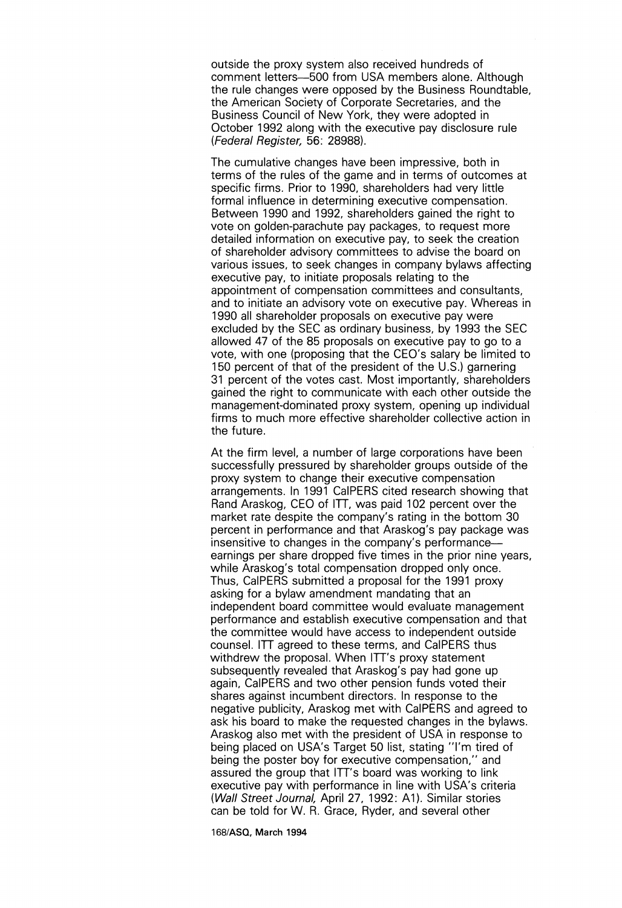outside the proxy system also received hundreds of comment letters-500 from USA members alone. Although the rule changes were opposed by the Business Roundtable, the American Society of Corporate Secretaries, and the Business Council of New York, they were adopted in October 1992 along with the executive pay disclosure rule (Federal Register, 56: 28988).

The cumulative changes have been impressive, both in terms of the rules of the game and in terms of outcomes at specific firms. Prior to 1990, shareholders had very little formal influence in determining executive compensation. Between 1990 and 1992, shareholders gained the right to vote on golden-parachute pay packages, to request more detailed information on executive pay, to seek the creation of shareholder advisory committees to advise the board on various issues, to seek changes in company bylaws affecting executive pay, to initiate proposals relating to the appointment of compensation committees and consultants, and to initiate an advisory vote on executive pay. Whereas in 1990 all shareholder proposals on executive pay were excluded by the SEC as ordinary business, by 1993 the SEC allowed 47 of the 85 proposals on executive pay to go to a vote, with one (proposing that the CEO's salary be limited to 150 percent of that of the president of the U.S.) garnering 31 percent of the votes cast. Most importantly, shareholders gained the right to communicate with each other outside the management-dominated proxy system, opening up individual firms to much more effective shareholder collective action in the future.

At the firm level, a number of large corporations have been successfully pressured by shareholder groups outside of the proxy system to change their executive compensation arrangements. In 1991 CalPERS cited research showing that Rand Araskog, CEO of ITT, was paid 102 percent over the market rate despite the company's rating in the bottom 30 percent in performance and that Araskog's pay package was insensitive to changes in the company's performanceearnings per share dropped five times in the prior nine years, while Araskog's total compensation dropped only once. Thus, CalPERS submitted a proposal for the 1991 proxy asking for a bylaw amendment mandating that an independent board committee would evaluate management performance and establish executive compensation and that the committee would have access to independent outside counsel. ITT agreed to these terms, and CalPERS thus withdrew the proposal. When ITT's proxy statement subsequently revealed that Araskog's pay had gone up again, CalPERS and two other pension funds voted their shares against incumbent directors. In response to the negative publicity, Araskog met with CalPERS and agreed to ask his board to make the requested changes in the bylaws. Araskog also met with the president of USA in response to being placed on USA's Target 50 list, stating "I'm tired of being the poster boy for executive compensation," and assured the group that ITT's board was working to link executive pay with performance in line with USA's criteria (Wall Street Journal, April 27, 1992: A1). Similar stories can be told for W. R. Grace, Ryder, and several other

168lASQ. March **1994**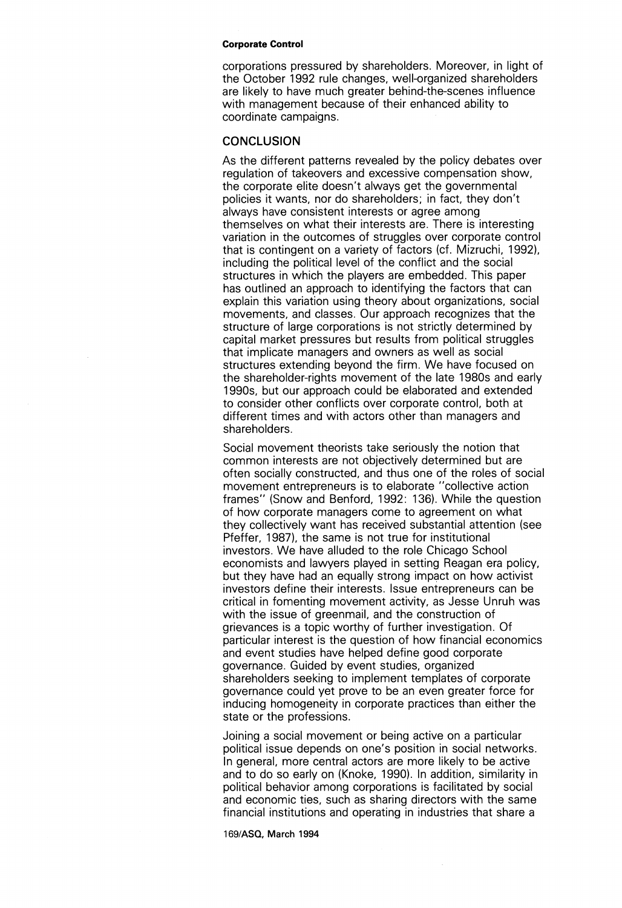corporations pressured by shareholders. Moreover, in light of the October 1992 rule changes, well-organized shareholders are likely to have much greater behind-the-scenes influence with management because of their enhanced ability to coordinate campaigns.

# **CONCLUSION**

As the different patterns revealed by the policy debates over regulation of takeovers and excessive compensation show, the corporate elite doesn't always get the governmental policies it wants, nor do shareholders; in fact, they don't always have consistent interests or agree among themselves on what their interests are. There is interesting variation in the outcomes of struggles over corporate control that is contingent on a variety of factors (cf. Mizruchi, 1992), including the political level of the conflict and the social structures in which the players are embedded. This paper has outlined an approach to identifying the factors that can explain this variation using theory about organizations, social movements, and classes. Our approach recognizes that the structure of large corporations is not strictly determined by capital market pressures but results from political struggles that implicate managers and owners as well as social structures extending beyond the firm. We have focused on the shareholder-rights movement of the late 1980s and early 1990s, but our approach could be elaborated and extended to consider other conflicts over corporate control, both at different times and with actors other than managers and shareholders.

Social movement theorists take seriously the notion that common interests are not objectively determined but are often socially constructed, and thus one of the roles of social movement entrepreneurs is to elaborate "collective action frames" (Snow and Benford, 1992: 136). While the question of how corporate managers come to agreement on what they collectively want has received substantial attention (see Pfeffer, 1987), the same is not true for institutional investors. We have alluded to the role Chicago School economists and lawyers played in setting Reagan era policy, but they have had an equally strong impact on how activist investors define their interests. Issue entrepreneurs can be critical in fomenting movement activity, as Jesse Unruh was with the issue of greenmail, and the construction of grievances is a topic worthy of further investigation. Of particular interest is the question of how financial economics and event studies have helped define good corporate governance. Guided by event studies, organized shareholders seeking to implement templates of corporate governance could yet prove to be an even greater force for inducing homogeneity in corporate practices than either the state or the professions.

Joining a social movement or being active on a particular political issue depends on one's position in social networks. In general, more central actors are more likely to be active and to do so early on (Knoke, 1990). In addition, similarity in political behavior among corporations is facilitated by social and economic ties, such as sharing directors with the same financial institutions and operating in industries that share a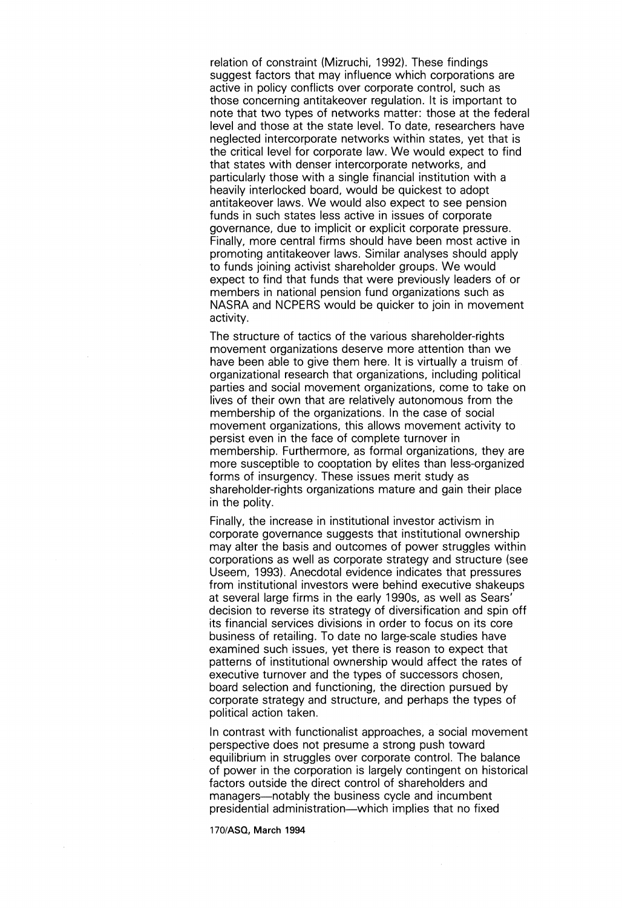relation of constraint (Mizruchi, 1992). These findings suggest factors that may influence which corporations are active in policy conflicts over corporate control, such as those concerning antitakeover regulation. It is important to note that two types of networks matter: those at the federal level and those at the state level. To date, researchers have neglected intercorporate networks within states, yet that is the critical level for corporate law. We would expect to find that states with denser intercorporate networks, and particularly those with a single financial institution with a heavily interlocked board, would be quickest to adopt antitakeover laws. We would also expect to see pension funds in such states less active in issues of corporate governance, due to implicit or explicit corporate pressure. Finally, more central firms should have been most active in promoting antitakeover laws. Similar analyses should apply to funds joining activist shareholder groups. We would expect to find that funds that were previously leaders of or members in national pension fund organizations such as NASRA and NCPERS would be quicker to join in movement activity.

The structure of tactics of the various shareholder-rights movement organizations deserve more attention than we have been able to give them here. It is virtually a truism of organizational research that organizations, including political parties and social movement organizations, come to take on lives of their own that are relatively autonomous from the membership of the organizations. In the case of social movement organizations, this allows movement activity to persist even in the face of complete turnover in membership. Furthermore, as formal organizations, they are more susceptible to cooptation by elites than less-organized forms of insurgency. These issues merit study as shareholder-rights organizations mature and gain their place in the polity.

Finally, the increase in institutional investor activism in corporate governance suggests that institutional ownership may alter the basis and outcomes of power struggles within corporations as well as corporate strategy and structure (see Useem, 1993). Anecdotal evidence indicates that pressures from institutional investors were behind executive shakeups at several large firms in the early 1990s, as well as Sears' decision to reverse its strategy of diversification and spin off its financial services divisions in order to focus on its core business of retailing. To date no large-scale studies have examined such issues, yet there is reason to expect that patterns of institutional ownership would affect the rates of executive turnover and the types of successors chosen, board selection and functioning, the direction pursued by corporate strategy and structure, and perhaps the types of political action taken.

In contrast with functionalist approaches, a social movement perspective does not presume a strong push toward equilibrium in struggles over corporate control. The balance of power in the corporation is largely contingent on historical factors outside the direct control of shareholders and managers—notably the business cycle and incumbent presidential administration—which implies that no fixed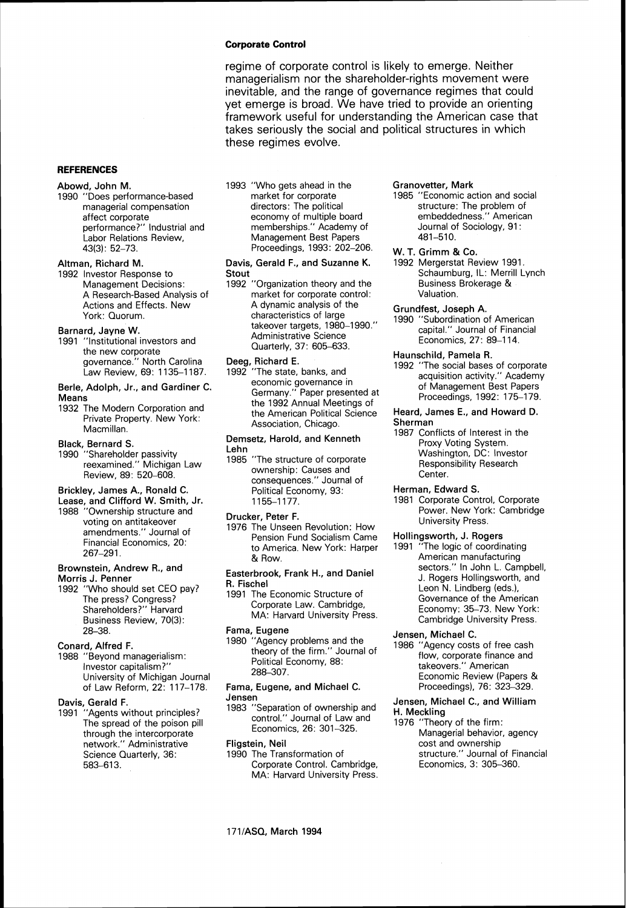regime of corporate control is likely to emerge. Neither managerialism nor the shareholder-rights movement were inevitable, and the range of governance regimes that could yet emerge is broad. We have tried to provide an orienting framework useful for understanding the American case that takes seriously the social and political structures in which these regimes evolve.

# **REFERENCES**

# Abowd, John M.

1990 "Does performance-based managerial compensation affect corporate performance?" Industrial and Labor Relations Review, 43(3): 52-73.

# Altman, Richard M.

1992 lnvestor Response to Management Decisions: A Research-Based Analysis of Actions and Effects. New York: Quorum.

## Barnard, Jayne W.

1991 "Institutional investors and the new corporate governance." North Carolina Law Review, 69: 1 135-1 187.

## Berle, Adolph, Jr., and Gardiner C. Means

1932 The Modern Corporation and Private Property. New York: Macmillan.

# Black, Bernard S.

1990 "Shareholder passivity reexamined." Michigan Law Review, 89: 520-608.

# Brickley, James A., Ronald C.

Lease, and Clifford W. Smith, Jr. 1988 "Ownership structure and voting on antitakeover amendments." Journal of Financial Economics, 20: 267-291.

## Brownstein, Andrew R., and Morris J. Penner

1992 "Who should set CEO pay? The press? Congress? Shareholders?" Haward Business Review, 70(3): 28-38.

# Conard, Alfred F.

1988 "Beyond managerialism: lnvestor capitalism?" University of Michigan Journal of Law Reform, 22: 117-178.

#### Davis, Gerald F.

1991 "Agents without principles? The spread of the poison pill through the intercorporate network." Administrative Science Quarterly, 36: 583-613.

1993 "Who gets ahead in the market for corporate directors: The political economy of multiple board memberships." Academy of Management Best Papers Proceedings, 1993: 202-206.

#### Davis, Gerald F., and Suzanne K. Stout

1992 "Organization theory and the market for corporate control: A dynamic analysis of the characteristics of large takeover targets, 1980-1990." Administrative Science Quarterly, 37: 605-633.

#### Deeg, Richard E.

1992 "The state, banks, and economic governance in Germany." Paper presented at the 1992 Annual Meetings of the American Political Science Association, Chicago.

#### Demsetz, Harold, and Kenneth Lehn

1985 "The structure of corporate ownership: Causes and consequences." Journal of Political Economy, 93: 1155-1177.

# Drucker, Peter F.

1976 The Unseen Revolution: How Pension Fund Socialism Came to America. New York: Harper & Row.

#### Easterbrook, Frank H., and Daniel R. Fischel

1991 The Economic Structure of Corporate Law. Cambridge, MA: Harvard University Press.

#### Fama, Eugene

1980 "Agency problems and the theory of the firm." Journal of Political Economy, 88: 288-307.

# Fama, Eugene, and Michael C.

# Jensen

- 1983 "Separation of ownership and control." Journal of Law and Economics, 26: 301-325.
- Fligstein, Neil
- 1990 The Transformation of Corporate Control. Cambridge, MA: Harvard University Press.

# Granovetter, Mark

1985 "Economic action and social structure: The problem of embeddedness." American Journal of Sociology, 91 : 481-510.

#### W. T. Grimm & Co.

1992 Mergerstat Review 1991 Schaumburg, IL: Merrill Lynch Business Brokerage & Valuation.

# Grundfest, Joseph A.

1990 "Subordination of American capital." Journal of Financial Economics, 27: 89-1 14.

#### Haunschild, Pamela **R.**

1992 "The social bases of corporate acquisition activity." Academy of Management Best Papers Proceedings, 1992: 175-179.

## Heard, James E., and Howard D. Sherman

1987 Conflicts of Interest in the Proxy Voting System. Washington, DC: lnvestor Responsibility Research Center.

#### Herman, Edward S.

1981 Corporate Control, Corporate Power. New York: Cambridge University Press.

# Hollingsworth, J. Rogers

1991 "The logic of coordinating American manufacturing sectors." In John L. Campbell, J. Rogers Hollingsworth, and Leon N. Lindberg (eds.), Governance of the American Economy: 35-73. New York: Cambridge University Press.

### Jensen, Michael C.

1986 "Agency costs of free cash flow, corporate finance and takeovers." American Economic Review (Papers & Proceedings), 76: 323-329.

# Jensen, Michael C., and William

1976 "Theory of the firm: Managerial behavior, agency cost and ownership structure." Journal of Financial Economics, 3: 305-360.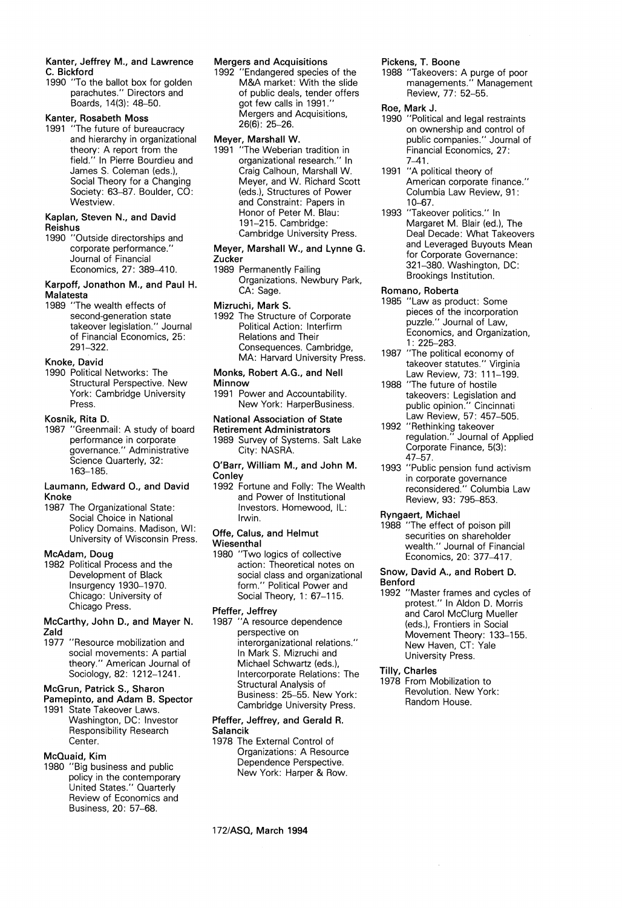#### Kanter, Jeffrey M., and Lawrence C. Bickford

1990 "To the ballot box for golden parachutes." Directors and Boards, 14(3): 48-50.

## Kanter, Rosabeth Moss

1991 "The future of bureaucracy and hierarchy in organizational theory: A report from the field." In Pierre Bourdieu and James S. Coleman (eds.), Social Theory for a Changing Society: 63-87. Boulder, CO: Westview.

#### Kaplan, Steven N., and David Reishus

1990 "Outside directorships and corporate performance." Journal of Financial Economics, 27: 389-410.

#### Karpoff, Jonathon M., and Paul H. Malatesta

1989 "The wealth effects of second-generation state takeover legislation." Journal of Financial Economics, 25: 291-322.

# Knoke, David

1990 Political Networks: The Structural Perspective. New York: Cambridge University Press.

## Kosnik, Rita D.

1987 "Greenmail: A study of board performance in corporate governance." Administrative Science Quarterly, 32: 163-1 85.

#### Laumann, Edward O., and David Knoke

1987 The Organizational State: Social Choice in National Policy Domains. Madison, WI: University of Wisconsin Press.

# McAdam, Doug

1982 Political Process and the Development of Black Insurgency 1930-1970. Chicago: University of Chicago Press.

## McCarthy, John D., and Mayer N. Zald

1977 "Resource mobilization and social movements: A partial theory." American Journal of Sociology, 82: 1212-1241.

# McGrun, Patrick S., Sharon

Pamepinto, and Adam B. Spector 1991 State Takeover Laws. Washington, DC: Investor Responsibility Research

# McQuaid, Kim

Center.

1980 "Big business and public policy in the contemporary United States." Quarterly Review of Economics and Business, 20: 57-68.

# Mergers and Acquisitions

1992 "Endangered species of the M&A market: With the slide of public deals, tender offers got few calls in 1991 ." Mergers and Acquisitions, 26(6): 25-26.

#### Meyer, Marshall W.

1991 "The Weberian tradition in organizational research." In Craig Calhoun, Marshall W. Meyer, and W. Richard Scott (eds.), Structures of Power and Constraint: Papers in Honor of Peter M. Blau: 191-215. Cambridge: Cambridge University Press.

#### Meyer, Marshall W., and Lynne G. **Zucker**

1989 Permanently Failing Organizations. Newbury Park, CA: Sage.

# Mizruchi, Mark S.

1992 The Structure of Corporate Political Action: Interfirm Relations and Their Consequences. Cambridge, MA: Harvard University Press.

# Monks, Robert A.G., and Nell

# Minnow

1991 Power and Accountability. New York: HarperBusiness.

# National Association of State

Retirement Administrators 1989 Survey of Systems. Salt Lake City: NASRA.

#### O'Barr, William M., and John M. **Conley**

1992 Fortune and Folly: The Wealth and Power of Institutional Investors. Homewood, IL: Irwin.

#### Offe, Calus, and Helmut

#### **Wiesenthal**

1980 "Two logics of collective action: Theoretical notes on social class and organizational form." Political Power and Social Theory, 1: 67-115.

# Pfeffer, Jeffrey

1987 "A resource dependence perspective on interorganizational relations." In Mark S. Mizruchi and Michael Schwartz (eds.), Intercorporate Relations: The Structural Analysis of Business: 25-55. New York: Cambridge University Press.

#### Pfeffer, Jeffrey, and Gerald R. Salancik

1978 The External Control of Organizations: A Resource Dependence Perspective. New York: Harper & Row.

## Pickens, T. Boone

1988 "Takeovers: A purge of poor managements." Management Review, 77: 52-55.

## Roe, Mark J.

- 1990 "Political and legal restraints on ownership and control of public companies." Journal of Financial Economics, 27:  $7 - 41$
- 1991 "A political theory of American corporate finance." Columbia Law Review, 91 :  $10 - 67$ .
- 1993 "Takeover politics." In Margaret M. Blair (ed.), The Deal Decade: What Takeovers and Leveraged Buyouts Mean for Corporate Governance: 321-380. Washington, DC: Brookings Institution.

# Romano, Roberta

- 1985 "Law as product: Some pieces of the incorporation puzzle." Journal of Law, Economics, and Organization, 1: 225-283.
- 1987 "The political economy of takeover statutes." Virginia Law Review, 73: 111-199.
- 1988 "The future of hostile takeovers: Legislation and public opinion." Cincinnati Law Review, 57: 457-505.
- 1992 "Rethinking takeover regulation." Journal of Applied Corporate Finance, 5(3): 47-57.
- 1993 "Public pension fund activism in corporate governance reconsidered." Columbia Law Review, 93: 795-853.

## Ryngaert, Michael

1988 "The effect of poison pill securities on shareholder wealth." Journal of Financial Economics, 20: 377-417.

#### Snow, David A., and Robert D. Benford

1992 "Master frames and cycles of protest." In Aldon D. Morris and Carol McClurg Mueller (eds.), Frontiers in Social Movement Theory: 133-155. New Haven, CT: Yale University Press.

#### Tilly, Charles

1978 From Mobilization to Revolution. New York: Random House.